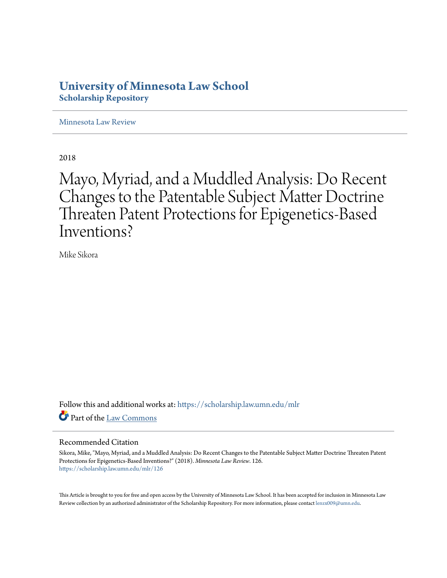# **University of Minnesota Law School [Scholarship Repository](https://scholarship.law.umn.edu?utm_source=scholarship.law.umn.edu%2Fmlr%2F126&utm_medium=PDF&utm_campaign=PDFCoverPages)**

[Minnesota Law Review](https://scholarship.law.umn.edu/mlr?utm_source=scholarship.law.umn.edu%2Fmlr%2F126&utm_medium=PDF&utm_campaign=PDFCoverPages)

2018

Mayo, Myriad, and a Muddled Analysis: Do Recent Changes to the Patentable Subject Matter Doctrine Threaten Patent Protections for Epigenetics-Based Inventions?

Mike Sikora

Follow this and additional works at: [https://scholarship.law.umn.edu/mlr](https://scholarship.law.umn.edu/mlr?utm_source=scholarship.law.umn.edu%2Fmlr%2F126&utm_medium=PDF&utm_campaign=PDFCoverPages) Part of the [Law Commons](http://network.bepress.com/hgg/discipline/578?utm_source=scholarship.law.umn.edu%2Fmlr%2F126&utm_medium=PDF&utm_campaign=PDFCoverPages)

# Recommended Citation

Sikora, Mike, "Mayo, Myriad, and a Muddled Analysis: Do Recent Changes to the Patentable Subject Matter Doctrine Threaten Patent Protections for Epigenetics-Based Inventions?" (2018). *Minnesota Law Review*. 126. [https://scholarship.law.umn.edu/mlr/126](https://scholarship.law.umn.edu/mlr/126?utm_source=scholarship.law.umn.edu%2Fmlr%2F126&utm_medium=PDF&utm_campaign=PDFCoverPages)

This Article is brought to you for free and open access by the University of Minnesota Law School. It has been accepted for inclusion in Minnesota Law Review collection by an authorized administrator of the Scholarship Repository. For more information, please contact [lenzx009@umn.edu.](mailto:lenzx009@umn.edu)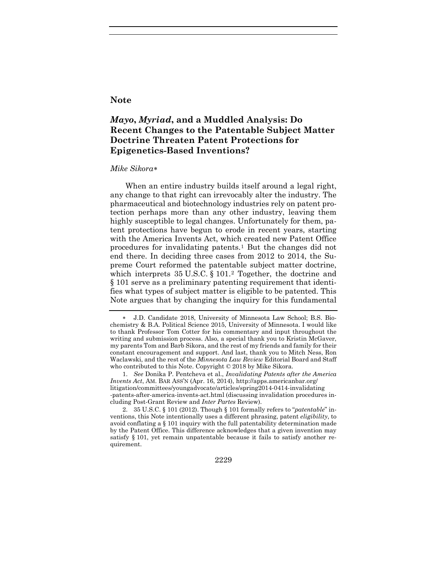# **Note**

# *Mayo***,** *Myriad***, and a Muddled Analysis: Do Recent Changes to the Patentable Subject Matter Doctrine Threaten Patent Protections for Epigenetics-Based Inventions?**

### *Mike Sikora*[∗](#page-1-0)

When an entire industry builds itself around a legal right, any change to that right can irrevocably alter the industry. The pharmaceutical and biotechnology industries rely on patent protection perhaps more than any other industry, leaving them highly susceptible to legal changes. Unfortunately for them, patent protections have begun to erode in recent years, starting with the America Invents Act, which created new Patent Office procedures for invalidating patents.[1](#page-1-1) But the changes did not end there. In deciding three cases from 2012 to 2014, the Supreme Court reformed the patentable subject matter doctrine, which interprets 35 U.S.C. § 101.<sup>[2](#page-1-2)</sup> Together, the doctrine and § 101 serve as a preliminary patenting requirement that identifies what types of subject matter is eligible to be patented. This Note argues that by changing the inquiry for this fundamental

<span id="page-1-1"></span>1. *See* Donika P. Pentcheva et al., *Invalidating Patents after the America Invents Act*, AM. BAR ASS'N (Apr. 16, 2014), http://apps.americanbar.org/ litigation/committees/youngadvocate/articles/spring2014-0414-invalidating -patents-after-america-invents-act.html (discussing invalidation procedures including Post-Grant Review and *Inter Partes* Review).

<span id="page-1-2"></span>2. 35 U.S.C. § 101 (2012). Though § 101 formally refers to "*patentable*" inventions, this Note intentionally uses a different phrasing, patent *eligibility*, to avoid conflating a § 101 inquiry with the full patentability determination made by the Patent Office. This difference acknowledges that a given invention may satisfy § 101, yet remain unpatentable because it fails to satisfy another requirement.

2229

<span id="page-1-0"></span><sup>∗</sup> J.D. Candidate 2018, University of Minnesota Law School; B.S. Biochemistry & B.A. Political Science 2015, University of Minnesota. I would like to thank Professor Tom Cotter for his commentary and input throughout the writing and submission process. Also, a special thank you to Kristin McGaver, my parents Tom and Barb Sikora, and the rest of my friends and family for their constant encouragement and support. And last, thank you to Mitch Ness, Ron Waclawski, and the rest of the *Minnesota Law Review* Editorial Board and Staff who contributed to this Note. Copyright © 2018 by Mike Sikora.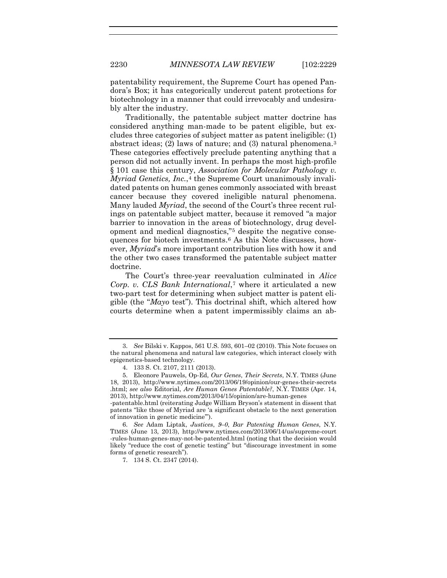patentability requirement, the Supreme Court has opened Pandora's Box; it has categorically undercut patent protections for biotechnology in a manner that could irrevocably and undesirably alter the industry.

Traditionally, the patentable subject matter doctrine has considered anything man-made to be patent eligible, but excludes three categories of subject matter as patent ineligible: (1) abstract ideas; (2) laws of nature; and (3) natural phenomena.[3](#page-2-0) These categories effectively preclude patenting anything that a person did not actually invent. In perhaps the most high-profile § 101 case this century, *Association for Molecular Pathology v. Myriad Genetics, Inc.*,<sup>4</sup> the Supreme Court unanimously invalidated patents on human genes commonly associated with breast cancer because they covered ineligible natural phenomena. Many lauded *Myriad*, the second of the Court's three recent rulings on patentable subject matter, because it removed "a major barrier to innovation in the areas of biotechnology, drug development and medical diagnostics,"[5](#page-2-2) despite the negative consequences for biotech investments.[6](#page-2-3) As this Note discusses, however, *Myriad*'s more important contribution lies with how it and the other two cases transformed the patentable subject matter doctrine.

<span id="page-2-5"></span>The Court's three-year reevaluation culminated in *Alice Corp. v. CLS Bank International*,[7](#page-2-4) where it articulated a new two-part test for determining when subject matter is patent eligible (the "*Mayo* test"). This doctrinal shift, which altered how courts determine when a patent impermissibly claims an ab-

-patentable.html (reiterating Judge William Bryson's statement in dissent that patents "like those of Myriad are 'a significant obstacle to the next generation of innovation in genetic medicine'").

<span id="page-2-4"></span><span id="page-2-3"></span>6. *See* Adam Liptak, *Justices*, *9–0*, *Bar Patenting Human Genes*, N.Y. TIMES (June 13, 2013), http://www.nytimes.com/2013/06/14/us/supreme-court -rules-human-genes-may-not-be-patented.html (noting that the decision would likely "reduce the cost of genetic testing" but "discourage investment in some forms of genetic research").

7. 134 S. Ct. 2347 (2014).

<span id="page-2-0"></span><sup>3.</sup> *See* Bilski v. Kappos, 561 U.S. 593, 601–02 (2010). This Note focuses on the natural phenomena and natural law categories, which interact closely with epigenetics-based technology.

<sup>4.</sup> 133 S. Ct. 2107, 2111 (2013).

<span id="page-2-2"></span><span id="page-2-1"></span><sup>5.</sup> Eleonore Pauwels, Op-Ed, *Our Genes*, *Their Secrets*, N.Y. TIMES (June 18, 2013), http://www.nytimes.com/2013/06/19/opinion/our-genes-their-secrets .html; *see also* Editorial, *Are Human Genes Patentable?*, N.Y. TIMES (Apr. 14, 2013), http://www.nytimes.com/2013/04/15/opinion/are-human-genes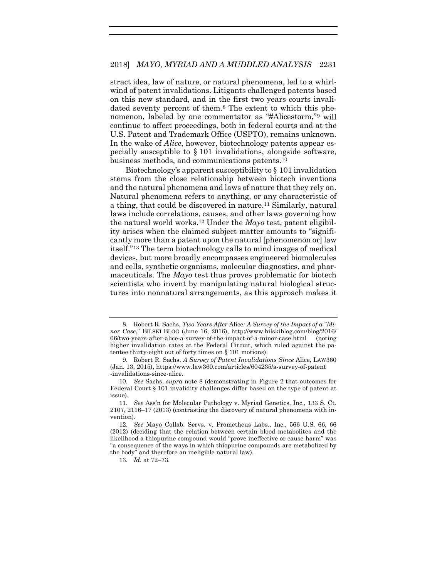<span id="page-3-0"></span>stract idea, law of nature, or natural phenomena, led to a whirlwind of patent invalidations. Litigants challenged patents based on this new standard, and in the first two years courts invalidated seventy percent of them.[8](#page-3-1) The extent to which this phenomenon, labeled by one commentator as "#Alicestorm,"[9](#page-3-2) will continue to affect proceedings, both in federal courts and at the U.S. Patent and Trademark Office (USPTO), remains unknown. In the wake of *Alice*, however, biotechnology patents appear especially susceptible to § 101 invalidations, alongside software, business methods, and communications patents.[10](#page-3-3)

Biotechnology's apparent susceptibility to § 101 invalidation stems from the close relationship between biotech inventions and the natural phenomena and laws of nature that they rely on. Natural phenomena refers to anything, or any characteristic of a thing, that could be discovered in nature.[11](#page-3-4) Similarly, natural laws include correlations, causes, and other laws governing how the natural world works.[12](#page-3-5) Under the *Mayo* test, patent eligibility arises when the claimed subject matter amounts to "significantly more than a patent upon the natural [phenomenon or] law itself."[13](#page-3-6) The term biotechnology calls to mind images of medical devices, but more broadly encompasses engineered biomolecules and cells, synthetic organisms, molecular diagnostics, and pharmaceuticals. The *Mayo* test thus proves problematic for biotech scientists who invent by manipulating natural biological structures into nonnatural arrangements, as this approach makes it

<span id="page-3-1"></span><sup>8.</sup> Robert R. Sachs, *Two Years After* Alice*: A Survey of the Impact of a "Minor Case*," BILSKI BLOG (June 16, 2016), http://www.bilskiblog.com/blog/2016/ 06/two-years-after-alice-a-survey-of-the-impact-of-a-minor-case.html (noting higher invalidation rates at the Federal Circuit, which ruled against the patentee thirty-eight out of forty times on § 101 motions).

<span id="page-3-2"></span><sup>9.</sup> Robert R. Sachs, *A Survey of Patent Invalidations Since* Alice, LAW360 (Jan. 13, 2015), https://www.law360.com/articles/604235/a-survey-of-patent -invalidations-since-alice.

<span id="page-3-3"></span><sup>10.</sup> *See* Sachs, *supra* note [8](#page-3-0) (demonstrating in Figure 2 that outcomes for Federal Court § 101 invalidity challenges differ based on the type of patent at issue).

<span id="page-3-4"></span><sup>11.</sup> *See* Ass'n for Molecular Pathology v. Myriad Genetics, Inc., 133 S. Ct. 2107, 2116–17 (2013) (contrasting the discovery of natural phenomena with invention).

<span id="page-3-6"></span><span id="page-3-5"></span><sup>12.</sup> *See* Mayo Collab. Servs. v. Prometheus Labs., Inc., 566 U.S. 66, 66 (2012) (deciding that the relation between certain blood metabolites and the likelihood a thiopurine compound would "prove ineffective or cause harm" was "a consequence of the ways in which thiopurine compounds are metabolized by the body" and therefore an ineligible natural law).

<sup>13.</sup> *Id.* at 72–73.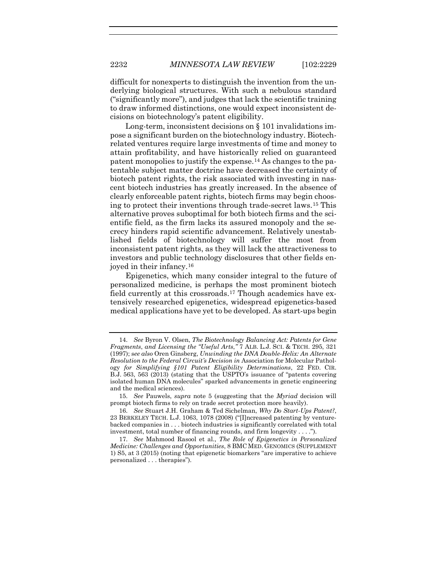difficult for nonexperts to distinguish the invention from the underlying biological structures. With such a nebulous standard ("significantly more"), and judges that lack the scientific training to draw informed distinctions, one would expect inconsistent decisions on biotechnology's patent eligibility.

Long-term, inconsistent decisions on  $\S$  101 invalidations impose a significant burden on the biotechnology industry. Biotechrelated ventures require large investments of time and money to attain profitability, and have historically relied on guaranteed patent monopolies to justify the expense.[14](#page-4-0) As changes to the patentable subject matter doctrine have decreased the certainty of biotech patent rights, the risk associated with investing in nascent biotech industries has greatly increased. In the absence of clearly enforceable patent rights, biotech firms may begin choosing to protect their inventions through trade-secret laws.[15](#page-4-1) This alternative proves suboptimal for both biotech firms and the scientific field, as the firm lacks its assured monopoly and the secrecy hinders rapid scientific advancement. Relatively unestablished fields of biotechnology will suffer the most from inconsistent patent rights, as they will lack the attractiveness to investors and public technology disclosures that other fields enjoyed in their infancy.[16](#page-4-2)

<span id="page-4-4"></span>Epigenetics, which many consider integral to the future of personalized medicine, is perhaps the most prominent biotech field currently at this crossroads.[17](#page-4-3) Though academics have extensively researched epigenetics, widespread epigenetics-based medical applications have yet to be developed. As start-ups begin

<span id="page-4-0"></span><sup>14.</sup> *See* Byron V. Olsen, *The Biotechnology Balancing Act: Patents for Gene Fragments*, *and Licensing the "Useful Arts*,*"* 7 ALB. L.J. SCI. & TECH. 295, 321 (1997); s*ee also* Oren Ginsberg, *Unwinding the DNA Double-Helix: An Alternate Resolution to the Federal Circuit's Decision in* Association for Molecular Pathology *for Simplifying §101 Patent Eligibility Determinations*, 22 FED. CIR. B.J. 563, 563 (2013) (stating that the USPTO's issuance of "patents covering isolated human DNA molecules" sparked advancements in genetic engineering and the medical sciences).

<span id="page-4-1"></span><sup>15.</sup> *See* Pauwels, *supra* note [5](#page-2-5) (suggesting that the *Myriad* decision will prompt biotech firms to rely on trade secret protection more heavily).

<span id="page-4-2"></span><sup>16.</sup> *See* Stuart J.H. Graham & Ted Sichelman, *Why Do Start-Ups Patent?*, 23 BERKELEY TECH. L.J. 1063, 1078 (2008) ("[I]ncreased patenting by venturebacked companies in . . . biotech industries is significantly correlated with total investment, total number of financing rounds, and firm longevity . . . .").

<span id="page-4-3"></span><sup>17.</sup> *See* Mahmood Rasool et al., *The Role of Epigenetics in Personalized Medicine: Challenges and Opportunities*, 8 BMC MED. GENOMICS (SUPPLEMENT 1) S5, at 3 (2015) (noting that epigenetic biomarkers "are imperative to achieve personalized . . . therapies").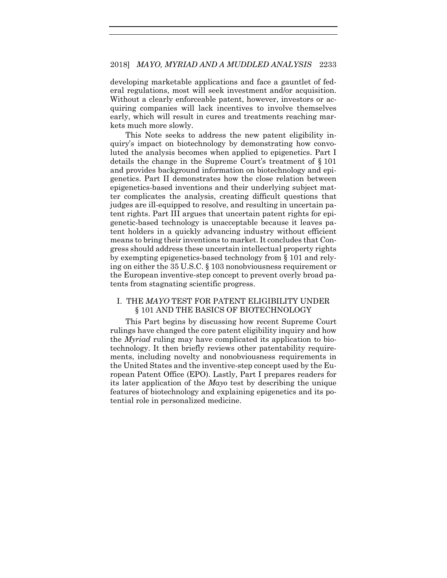developing marketable applications and face a gauntlet of federal regulations, most will seek investment and/or acquisition. Without a clearly enforceable patent, however, investors or acquiring companies will lack incentives to involve themselves early, which will result in cures and treatments reaching markets much more slowly.

This Note seeks to address the new patent eligibility inquiry's impact on biotechnology by demonstrating how convoluted the analysis becomes when applied to epigenetics. Part I details the change in the Supreme Court's treatment of § 101 and provides background information on biotechnology and epigenetics. Part II demonstrates how the close relation between epigenetics-based inventions and their underlying subject matter complicates the analysis, creating difficult questions that judges are ill-equipped to resolve, and resulting in uncertain patent rights. Part III argues that uncertain patent rights for epigenetic-based technology is unacceptable because it leaves patent holders in a quickly advancing industry without efficient means to bring their inventions to market. It concludes that Congress should address these uncertain intellectual property rights by exempting epigenetics-based technology from § 101 and relying on either the 35 U.S.C. § 103 nonobviousness requirement or the European inventive-step concept to prevent overly broad patents from stagnating scientific progress.

# I. THE *MAYO* TEST FOR PATENT ELIGIBILITY UNDER § 101 AND THE BASICS OF BIOTECHNOLOGY

This Part begins by discussing how recent Supreme Court rulings have changed the core patent eligibility inquiry and how the *Myriad* ruling may have complicated its application to biotechnology. It then briefly reviews other patentability requirements, including novelty and nonobviousness requirements in the United States and the inventive-step concept used by the European Patent Office (EPO). Lastly, Part I prepares readers for its later application of the *Mayo* test by describing the unique features of biotechnology and explaining epigenetics and its potential role in personalized medicine.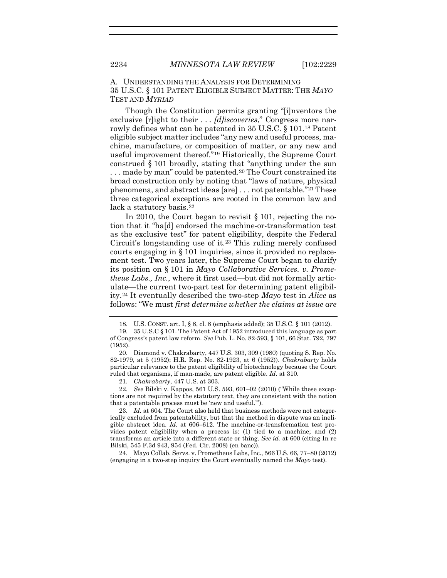A. UNDERSTANDING THE ANALYSIS FOR DETERMINING 35 U.S.C. § 101 PATENT ELIGIBLE SUBJECT MATTER: THE *MAYO* TEST AND *MYRIAD*

Though the Constitution permits granting "[i]nventors the exclusive [r]ight to their . . . *[d]iscoveries*," Congress more narrowly defines what can be patented in 35 U.S.C. § 101[.18](#page-6-0) Patent eligible subject matter includes "any new and useful process, machine, manufacture, or composition of matter, or any new and useful improvement thereof."[19](#page-6-1) Historically, the Supreme Court construed § 101 broadly, stating that "anything under the sun ... made by man" could be patented.<sup>20</sup> The Court constrained its broad construction only by noting that "laws of nature, physical phenomena, and abstract ideas [are] . . . not patentable."[21](#page-6-3) These three categorical exceptions are rooted in the common law and lack a statutory basis.<sup>[22](#page-6-4)</sup>

In 2010, the Court began to revisit § 101, rejecting the notion that it "ha[d] endorsed the machine-or-transformation test as the exclusive test" for patent eligibility, despite the Federal Circuit's longstanding use of it.[23](#page-6-5) This ruling merely confused courts engaging in § 101 inquiries, since it provided no replacement test. Two years later, the Supreme Court began to clarify its position on § 101 in *Mayo Collaborative Services. v. Prometheus Labs., Inc.*, where it first used—but did not formally articulate—the current two-part test for determining patent eligibility.[24](#page-6-6) It eventually described the two-step *Mayo* test in *Alice* as follows: "We must *first determine whether the claims at issue are* 

<span id="page-6-2"></span>20. Diamond v. Chakrabarty, 447 U.S. 303, 309 (1980) (quoting S. Rep. No. 82-1979, at 5 (1952); H.R. Rep. No. 82-1923, at 6 (1952)). *Chakrabarty* holds particular relevance to the patent eligibility of biotechnology because the Court ruled that organisms, if man-made, are patent eligible. *Id.* at 310.

21. *Chakrabarty*, 447 U.S. at 303.

<span id="page-6-4"></span><span id="page-6-3"></span>22. *See* Bilski v. Kappos, 561 U.S. 593, 601–02 (2010) ("While these exceptions are not required by the statutory text, they are consistent with the notion that a patentable process must be 'new and useful.'").

<span id="page-6-5"></span>23. *Id.* at 604. The Court also held that business methods were not categorically excluded from patentability, but that the method in dispute was an ineligible abstract idea. *Id.* at 606–612. The machine-or-transformation test provides patent eligibility when a process is: (1) tied to a machine; and (2) transforms an article into a different state or thing. *See id.* at 600 (citing In re Bilski, 545 F.3d 943, 954 (Fed. Cir. 2008) (en banc)).

<span id="page-6-6"></span>24. Mayo Collab. Servs. v. Prometheus Labs, Inc., 566 U.S. 66, 77–80 (2012) (engaging in a two-step inquiry the Court eventually named the *Mayo* test).

<sup>18.</sup> U.S. CONST. art. I, § 8, cl. 8 (emphasis added); 35 U.S.C. § 101 (2012).

<span id="page-6-1"></span><span id="page-6-0"></span><sup>19.</sup> 35 U.S.C § 101. The Patent Act of 1952 introduced this language as part of Congress's patent law reform. *See* Pub. L. No. 82-593, § 101, 66 Stat. 792, 797 (1952).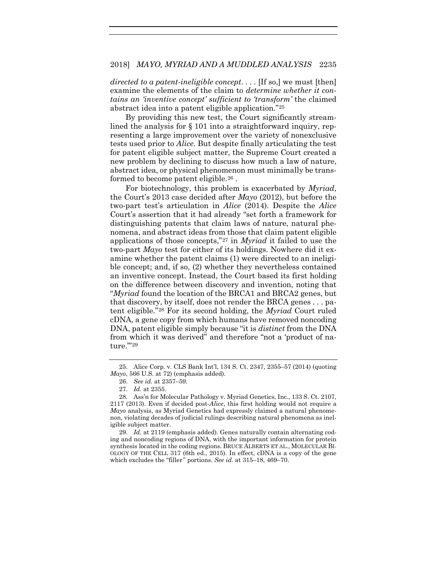#### 2018] *MAYO, MYRIAD AND A MUDDLED ANALYSIS* 2235

*directed to a patent-ineligible concept*. . . . [If so,] we must [then] examine the elements of the claim to *determine whether it contains an 'inventive concept' sufficient to 'transform'* the claimed abstract idea into a patent eligible application."[25](#page-7-0)

By providing this new test, the Court significantly streamlined the analysis for § 101 into a straightforward inquiry, representing a large improvement over the variety of nonexclusive tests used prior to *Alice*. But despite finally articulating the test for patent eligible subject matter, the Supreme Court created a new problem by declining to discuss how much a law of nature, abstract idea, or physical phenomenon must minimally be transformed to become patent eligible.[26](#page-7-1) .

For biotechnology, this problem is exacerbated by *Myriad*, the Court's 2013 case decided after *Mayo* (2012), but before the two-part test's articulation in *Alice* (2014). Despite the *Alice*  Court's assertion that it had already "set forth a framework for distinguishing patents that claim laws of nature, natural phenomena, and abstract ideas from those that claim patent eligible applications of those concepts,"[27](#page-7-2) in *Myriad* it failed to use the two-part *Mayo* test for either of its holdings. Nowhere did it examine whether the patent claims (1) were directed to an ineligible concept; and, if so, (2) whether they nevertheless contained an inventive concept. Instead, the Court based its first holding on the difference between discovery and invention, noting that "*Myriad* found the location of the BRCA1 and BRCA2 genes, but that discovery, by itself, does not render the BRCA genes . . . patent eligible."[28](#page-7-3) For its second holding, the *Myriad* Court ruled cDNA, a gene copy from which humans have removed noncoding DNA, patent eligible simply because "it is *distinct* from the DNA from which it was derived" and therefore "not a 'product of na-ture.""[29](#page-7-4)

<span id="page-7-4"></span>29. *Id.* at 2119 (emphasis added). Genes naturally contain alternating coding and noncoding regions of DNA, with the important information for protein synthesis located in the coding regions. BRUCE ALBERTS ET AL., MOLECULAR BI-OLOGY OF THE CELL 317 (6th ed., 2015). In effect, cDNA is a copy of the gene which excludes the "filler" portions. *See id.* at 315–18, 469–70.

<span id="page-7-5"></span><span id="page-7-0"></span><sup>25.</sup> Alice Corp. v. CLS Bank Int'l, 134 S. Ct. 2347, 2355–57 (2014) (quoting *Mayo*, 566 U.S. at 72) (emphasis added).

<sup>26.</sup> *See id.* at 2357–59.

<sup>27.</sup> *Id.* at 2355.

<span id="page-7-3"></span><span id="page-7-2"></span><span id="page-7-1"></span><sup>28.</sup> Ass'n for Molecular Pathology v. Myriad Genetics, Inc., 133 S. Ct. 2107, 2117 (2013). Even if decided post-*Alice*, this first holding would not require a *Mayo* analysis, as Myriad Genetics had expressly claimed a natural phenomenon, violating decades of judicial rulings describing natural phenomena as ineligible subject matter.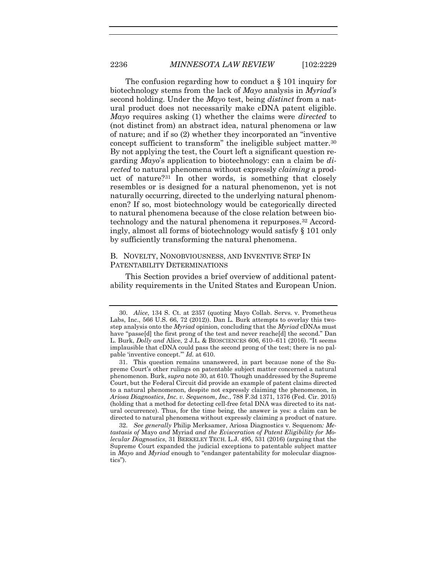<span id="page-8-0"></span>The confusion regarding how to conduct a § 101 inquiry for biotechnology stems from the lack of *Mayo* analysis in *Myriad's* second holding. Under the *Mayo* test, being *distinct* from a natural product does not necessarily make cDNA patent eligible. *Mayo* requires asking (1) whether the claims were *directed* to (not distinct from) an abstract idea, natural phenomena or law of nature; and if so (2) whether they incorporated an "inventive concept sufficient to transform" the ineligible subject matter.[30](#page-8-1) By not applying the test, the Court left a significant question regarding *Mayo*'s application to biotechnology: can a claim be *directed* to natural phenomena without expressly *claiming* a product of nature?[31](#page-8-2) In other words, is something that closely resembles or is designed for a natural phenomenon, yet is not naturally occurring, directed to the underlying natural phenomenon? If so, most biotechnology would be categorically directed to natural phenomena because of the close relation between biotechnology and the natural phenomena it repurposes.[32](#page-8-3) Accordingly, almost all forms of biotechnology would satisfy § 101 only by sufficiently transforming the natural phenomena.

## <span id="page-8-5"></span><span id="page-8-4"></span>B. NOVELTY, NONOBVIOUSNESS, AND INVENTIVE STEP IN PATENTABILITY DETERMINATIONS

This Section provides a brief overview of additional patentability requirements in the United States and European Union.

<span id="page-8-1"></span><sup>30.</sup> *Alice*, 134 S. Ct. at 2357 (quoting Mayo Collab. Servs. v. Prometheus Labs, Inc., 566 U.S. 66, 72 (2012)). Dan L. Burk attempts to overlay this twostep analysis onto the *Myriad* opinion, concluding that the *Myriad* cDNAs must have "passe[d] the first prong of the test and never reache[d] the second." Dan L. Burk, *Dolly and* Alice, 2 J.L. & BIOSCIENCES 606, 610–611 (2016). "It seems implausible that cDNA could pass the second prong of the test; there is no palpable 'inventive concept.'" *Id.* at 610.

<span id="page-8-2"></span><sup>31.</sup> This question remains unanswered, in part because none of the Supreme Court's other rulings on patentable subject matter concerned a natural phenomenon. Burk, *supra* not[e 30,](#page-8-0) at 610. Though unaddressed by the Supreme Court, but the Federal Circuit did provide an example of patent claims directed to a natural phenomenon, despite not expressly claiming the phenomenon, in *Ariosa Diagnostics*, *Inc. v. Sequenom*, *Inc.*, 788 F.3d 1371, 1376 (Fed. Cir. 2015) (holding that a method for detecting cell-free fetal DNA was directed to its natural occurrence). Thus, for the time being, the answer is yes: a claim can be directed to natural phenomena without expressly claiming a product of nature.

<span id="page-8-3"></span><sup>32.</sup> *See generally* Philip Merksamer, Ariosa Diagnostics v. Sequenom*: Metastasis of* Mayo *and* Myriad *and the Evisceration of Patent Eligibility for Molecular Diagnostics*, 31 BERKELEY TECH. L.J. 495, 531 (2016) (arguing that the Supreme Court expanded the judicial exceptions to patentable subject matter in *Mayo* and *Myriad* enough to "endanger patentability for molecular diagnostics").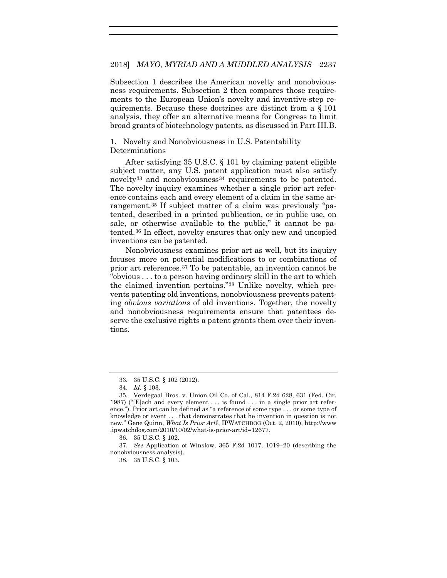Subsection 1 describes the American novelty and nonobviousness requirements. Subsection 2 then compares those requirements to the European Union's novelty and inventive-step requirements. Because these doctrines are distinct from a § 101 analysis, they offer an alternative means for Congress to limit broad grants of biotechnology patents, as discussed in Part III.B.

1. Novelty and Nonobviousness in U.S. Patentability Determinations

After satisfying 35 U.S.C. § 101 by claiming patent eligible subject matter, any U.S. patent application must also satisfy novelty<sup>[33](#page-9-0)</sup> and nonobviousness<sup>[34](#page-9-1)</sup> requirements to be patented. The novelty inquiry examines whether a single prior art reference contains each and every element of a claim in the same arrangement.[35](#page-9-2) If subject matter of a claim was previously "patented, described in a printed publication, or in public use, on sale, or otherwise available to the public," it cannot be patented.[36](#page-9-3) In effect, novelty ensures that only new and uncopied inventions can be patented.

Nonobviousness examines prior art as well, but its inquiry focuses more on potential modifications to or combinations of prior art references.[37](#page-9-4) To be patentable, an invention cannot be "obvious . . . to a person having ordinary skill in the art to which the claimed invention pertains."[38](#page-9-5) Unlike novelty, which prevents patenting old inventions, nonobviousness prevents patenting *obvious variations* of old inventions. Together, the novelty and nonobviousness requirements ensure that patentees deserve the exclusive rights a patent grants them over their inventions.

<span id="page-9-5"></span><span id="page-9-4"></span><span id="page-9-3"></span>37. *See* Application of Winslow, 365 F.2d 1017, 1019–20 (describing the nonobviousness analysis).

<sup>33.</sup> 35 U.S.C. § 102 (2012).

<sup>34.</sup> *Id.* § 103.

<span id="page-9-2"></span><span id="page-9-1"></span><span id="page-9-0"></span><sup>35.</sup> Verdegaal Bros. v. Union Oil Co. of Cal., 814 F.2d 628, 631 (Fed. Cir. 1987) ("[E]ach and every element . . . is found . . . in a single prior art reference."). Prior art can be defined as "a reference of some type . . . or some type of knowledge or event . . . that demonstrates that he invention in question is not new." Gene Quinn, *What Is Prior Art?*, IPWATCHDOG (Oct. 2, 2010), http://www .ipwatchdog.com/2010/10/02/what-is-prior-art/id=12677.

<sup>36.</sup> 35 U.S.C. § 102.

<sup>38.</sup> 35 U.S.C. § 103.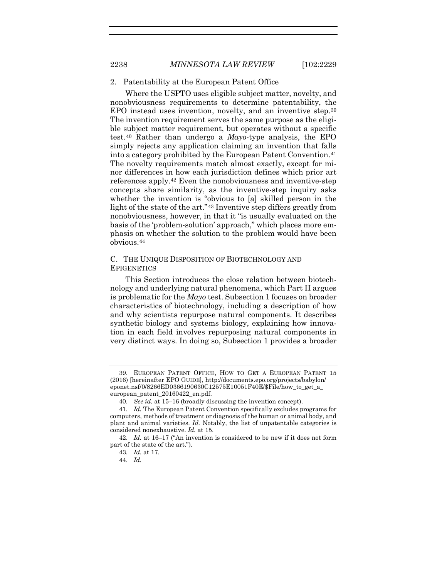#### 2. Patentability at the European Patent Office

<span id="page-10-6"></span>Where the USPTO uses eligible subject matter, novelty, and nonobviousness requirements to determine patentability, the EPO instead uses invention, novelty, and an inventive step.[39](#page-10-0) The invention requirement serves the same purpose as the eligible subject matter requirement, but operates without a specific test.[40](#page-10-1) Rather than undergo a *Mayo*-type analysis, the EPO simply rejects any application claiming an invention that falls into a category prohibited by the European Patent Convention.<sup>[41](#page-10-2)</sup> The novelty requirements match almost exactly, except for minor differences in how each jurisdiction defines which prior art references apply.[42](#page-10-3) Even the nonobviousness and inventive-step concepts share similarity, as the inventive-step inquiry asks whether the invention is "obvious to [a] skilled person in the light of the state of the art."[43](#page-10-4) Inventive step differs greatly from nonobviousness, however, in that it "is usually evaluated on the basis of the 'problem-solution' approach," which places more emphasis on whether the solution to the problem would have been obvious.[44](#page-10-5)

## C. THE UNIQUE DISPOSITION OF BIOTECHNOLOGY AND **EPIGENETICS**

This Section introduces the close relation between biotechnology and underlying natural phenomena, which Part II argues is problematic for the *Mayo* test. Subsection 1 focuses on broader characteristics of biotechnology, including a description of how and why scientists repurpose natural components. It describes synthetic biology and systems biology, explaining how innovation in each field involves repurposing natural components in very distinct ways. In doing so, Subsection 1 provides a broader

<span id="page-10-0"></span><sup>39.</sup> EUROPEAN PATENT OFFICE, HOW TO GET A EUROPEAN PATENT 15 (2016) [hereinafter EPO GUIDE], http://documents.epo.org/projects/babylon/ eponet.nsf/0/8266ED0366190630C12575E10051F40E/\$File/how\_to\_get\_a\_ european\_patent\_20160422\_en.pdf.

<sup>40.</sup> *See id.* at 15–16 (broadly discussing the invention concept).

<span id="page-10-2"></span><span id="page-10-1"></span><sup>41.</sup> *Id.* The European Patent Convention specifically excludes programs for computers, methods of treatment or diagnosis of the human or animal body, and plant and animal varieties. *Id.* Notably, the list of unpatentable categories is considered nonexhaustive. *Id.* at 15.

<span id="page-10-5"></span><span id="page-10-4"></span><span id="page-10-3"></span><sup>42.</sup> *Id.* at 16–17 ("An invention is considered to be new if it does not form part of the state of the art.").

<sup>43.</sup> *Id.* at 17.

<sup>44.</sup> *Id.*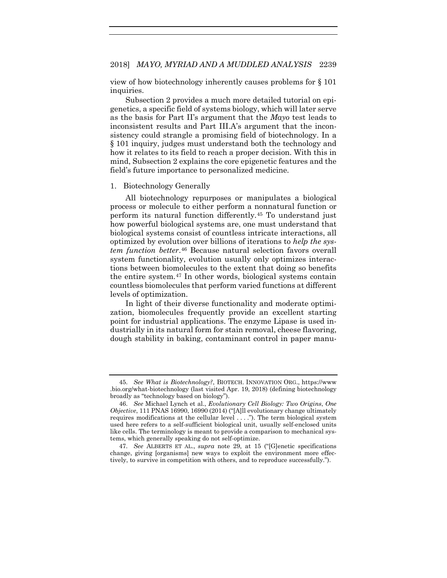view of how biotechnology inherently causes problems for § 101 inquiries.

Subsection 2 provides a much more detailed tutorial on epigenetics, a specific field of systems biology, which will later serve as the basis for Part II's argument that the *Mayo* test leads to inconsistent results and Part III.A's argument that the inconsistency could strangle a promising field of biotechnology. In a § 101 inquiry, judges must understand both the technology and how it relates to its field to reach a proper decision. With this in mind, Subsection 2 explains the core epigenetic features and the field's future importance to personalized medicine.

#### 1. Biotechnology Generally

All biotechnology repurposes or manipulates a biological process or molecule to either perform a nonnatural function or perform its natural function differently.[45](#page-11-0) To understand just how powerful biological systems are, one must understand that biological systems consist of countless intricate interactions, all optimized by evolution over billions of iterations to *help the system function better*.[46](#page-11-1) Because natural selection favors overall system functionality, evolution usually only optimizes interactions between biomolecules to the extent that doing so benefits the entire system.[47](#page-11-2) In other words, biological systems contain countless biomolecules that perform varied functions at different levels of optimization.

In light of their diverse functionality and moderate optimization, biomolecules frequently provide an excellent starting point for industrial applications. The enzyme Lipase is used industrially in its natural form for stain removal, cheese flavoring, dough stability in baking, contaminant control in paper manu-

<span id="page-11-0"></span><sup>45.</sup> *See What is Biotechnology?*, BIOTECH. INNOVATION ORG., https://www .bio.org/what-biotechnology (last visited Apr. 19, 2018) (defining biotechnology broadly as "technology based on biology").

<span id="page-11-1"></span><sup>46.</sup> *See* Michael Lynch et al., *Evolutionary Cell Biology: Two Origins*, *One Objective*, 111 PNAS 16990, 16990 (2014) ("[A]ll evolutionary change ultimately requires modifications at the cellular level . . . ."). The term biological system used here refers to a self-sufficient biological unit, usually self-enclosed units like cells. The terminology is meant to provide a comparison to mechanical systems, which generally speaking do not self-optimize.

<span id="page-11-2"></span><sup>47.</sup> *See* ALBERTS ET AL., *supra* note [29,](#page-7-5) at 15 ("[G]enetic specifications change, giving [organisms] new ways to exploit the environment more effectively, to survive in competition with others, and to reproduce successfully.").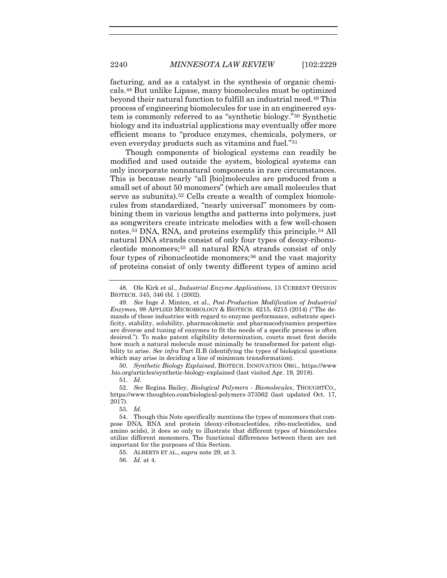<span id="page-12-9"></span>facturing, and as a catalyst in the synthesis of organic chemicals.[48](#page-12-0) But unlike Lipase, many biomolecules must be optimized beyond their natural function to fulfill an industrial need.[49](#page-12-1) This process of engineering biomolecules for use in an engineered system is commonly referred to as "synthetic biology."[50](#page-12-2) Synthetic biology and its industrial applications may eventually offer more efficient means to "produce enzymes, chemicals, polymers, or even everyday products such as vitamins and fuel."[51](#page-12-3)

Though components of biological systems can readily be modified and used outside the system, biological systems can only incorporate nonnatural components in rare circumstances. This is because nearly "all [bio]molecules are produced from a small set of about 50 monomers" (which are small molecules that serve as subunits).<sup>[52](#page-12-4)</sup> Cells create a wealth of complex biomolecules from standardized, "nearly universal" monomers by combining them in various lengths and patterns into polymers, just as songwriters create intricate melodies with a few well-chosen notes.[53](#page-12-5) DNA, RNA, and proteins exemplify this principle.[54](#page-12-6) All natural DNA strands consist of only four types of deoxy-ribonucleotide monomers;[55](#page-12-7) all natural RNA strands consist of only four types of ribonucleotide monomers;<sup>[56](#page-12-8)</sup> and the vast majority of proteins consist of only twenty different types of amino acid

<span id="page-12-2"></span>50. *Synthetic Biology Explained*, BIOTECH. INNOVATION ORG., https://www .bio.org/articles/synthetic-biology-explained (last visited Apr. 19, 2018).

51. *Id.*

<span id="page-12-4"></span><span id="page-12-3"></span>52. *See* Regina Bailey, *Biological Polymers - Biomolecules*, THOUGHTCO., https://www.thoughtco.com/biological-polymers-373562 (last updated Oct. 17, 2017).

53. *Id.*

55. ALBERTS ET AL., *supra* note [29,](#page-7-5) at 3.

56. *Id.* at 4.

<span id="page-12-0"></span><sup>48.</sup> Ole Kirk et al., *Industrial Enzyme Applications*, 13 CURRENT OPINION BIOTECH. 345, 346 tbl. 1 (2002).

<span id="page-12-1"></span><sup>49.</sup> *See* Inge J. Minten, et al., *Post-Production Modification of Industrial Enzymes*, 98 APPLIED MICROBIOLOGY & BIOTECH. 6215, 6215 (2014) ("The demands of these industries with regard to enzyme performance, substrate specificity, stability, solubility, pharmacokinetic and pharmacodynamics properties are diverse and tuning of enzymes to fit the needs of a specific process is often desired."). To make patent eligibility determination, courts must first decide how much a natural molecule must minimally be transformed for patent eligibility to arise. *See infra* Part II.B (identifying the types of biological questions which may arise in deciding a line of minimum transformation).

<span id="page-12-8"></span><span id="page-12-7"></span><span id="page-12-6"></span><span id="page-12-5"></span><sup>54.</sup> Though this Note specifically mentions the types of monomers that compose DNA, RNA and protein (deoxy-ribonucleotides, ribo-nucleotides, and amino acids), it does so only to illustrate that different types of biomolecules utilize different monomers. The functional differences between them are not important for the purposes of this Section.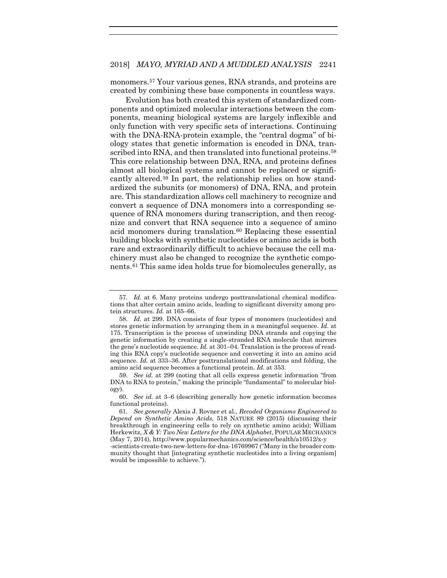monomers.[57](#page-13-0) Your various genes, RNA strands, and proteins are created by combining these base components in countless ways.

Evolution has both created this system of standardized components and optimized molecular interactions between the components, meaning biological systems are largely inflexible and only function with very specific sets of interactions. Continuing with the DNA-RNA-protein example, the "central dogma" of biology states that genetic information is encoded in DNA, tran-scribed into RNA, and then translated into functional proteins.<sup>[58](#page-13-1)</sup> This core relationship between DNA, RNA, and proteins defines almost all biological systems and cannot be replaced or significantly altered.[59](#page-13-2) In part, the relationship relies on how standardized the subunits (or monomers) of DNA, RNA, and protein are. This standardization allows cell machinery to recognize and convert a sequence of DNA monomers into a corresponding sequence of RNA monomers during transcription, and then recognize and convert that RNA sequence into a sequence of amino acid monomers during translation.<sup>[60](#page-13-3)</sup> Replacing these essential building blocks with synthetic nucleotides or amino acids is both rare and extraordinarily difficult to achieve because the cell machinery must also be changed to recognize the synthetic components[.61](#page-13-4) This same idea holds true for biomolecules generally, as

<span id="page-13-0"></span><sup>57.</sup> *Id.* at 6. Many proteins undergo posttranslational chemical modifications that alter certain amino acids, leading to significant diversity among protein structures. *Id.* at 165–66.

<span id="page-13-1"></span><sup>58.</sup> *Id.* at 299. DNA consists of four types of monomers (nucleotides) and stores genetic information by arranging them in a meaningful sequence. *Id.* at 175. Transcription is the process of unwinding DNA strands and copying the genetic information by creating a single-stranded RNA molecule that mirrors the gene's nucleotide sequence. *Id.* at 301–04. Translation is the process of reading this RNA copy's nucleotide sequence and converting it into an amino acid sequence. *Id.* at 333–36. After posttranslational modifications and folding, the amino acid sequence becomes a functional protein. *Id.* at 353.

<span id="page-13-2"></span><sup>59.</sup> *See id.* at 299 (noting that all cells express genetic information "from DNA to RNA to protein," making the principle "fundamental" to molecular biology).

<span id="page-13-3"></span><sup>60.</sup> *See id.* at 3–6 (describing generally how genetic information becomes functional proteins).

<span id="page-13-4"></span><sup>61.</sup> *See generally* Alexis J. Rovner et al., *Recoded Organisms Engineered to Depend on Synthetic Amino Acids*, 518 NATURE 89 (2015) (discussing their breakthrough in engineering cells to rely on synthetic amino acids); William Herkewitz, *X & Y: Two New Letters for the DNA Alphabet*, POPULAR MECHANICS (May 7, 2014), http://www.popularmechanics.com/science/health/a10512/x-y -scientists-create-two-new-letters-for-dna-16769967 ("Many in the broader com-

munity thought that [integrating synthetic nucleotides into a living organism] would be impossible to achieve.").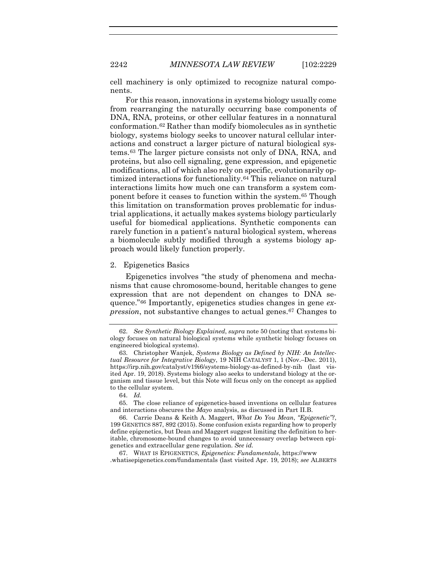2242 *MINNESOTA LAW REVIEW* [102:2229

cell machinery is only optimized to recognize natural components.

For this reason, innovations in systems biology usually come from rearranging the naturally occurring base components of DNA, RNA, proteins, or other cellular features in a nonnatural conformation.[62](#page-14-0) Rather than modify biomolecules as in synthetic biology, systems biology seeks to uncover natural cellular interactions and construct a larger picture of natural biological systems.[63](#page-14-1) The larger picture consists not only of DNA, RNA, and proteins, but also cell signaling, gene expression, and epigenetic modifications, all of which also rely on specific, evolutionarily optimized interactions for functionality.[64](#page-14-2) This reliance on natural interactions limits how much one can transform a system component before it ceases to function within the system.[65](#page-14-3) Though this limitation on transformation proves problematic for industrial applications, it actually makes systems biology particularly useful for biomedical applications. Synthetic components can rarely function in a patient's natural biological system, whereas a biomolecule subtly modified through a systems biology approach would likely function properly.

#### 2. Epigenetics Basics

<span id="page-14-6"></span>Epigenetics involves "the study of phenomena and mechanisms that cause chromosome-bound, heritable changes to gene expression that are not dependent on changes to DNA sequence."[66](#page-14-4) Importantly, epigenetics studies changes in gene *expression*, not substantive changes to actual genes.[67](#page-14-5) Changes to

<span id="page-14-0"></span><sup>62.</sup> *See Synthetic Biology Explained*, *supra* not[e 50](#page-12-9) (noting that systems biology focuses on natural biological systems while synthetic biology focuses on engineered biological systems).

<span id="page-14-1"></span><sup>63.</sup> Christopher Wanjek, *Systems Biology as Defined by NIH: An Intellectual Resource for Integrative Biology*, 19 NIH CATALYST 1, 1 (Nov.–Dec. 2011), https://irp.nih.gov/catalyst/v19i6/systems-biology-as-defined-by-nih (last visited Apr. 19, 2018). Systems biology also seeks to understand biology at the organism and tissue level, but this Note will focus only on the concept as applied to the cellular system.

<sup>64.</sup> *Id.*

<span id="page-14-3"></span><span id="page-14-2"></span><sup>65.</sup> The close reliance of epigenetics-based inventions on cellular features and interactions obscures the *Mayo* analysis, as discussed in Part II.B.

<span id="page-14-4"></span><sup>66.</sup> Carrie Deans & Keith A. Maggert, *What Do You Mean*, *"Epigenetic"?*, 199 GENETICS 887, 892 (2015). Some confusion exists regarding how to properly define epigenetics, but Dean and Maggert suggest limiting the definition to heritable, chromosome-bound changes to avoid unnecessary overlap between epigenetics and extracellular gene regulation. *See id.*

<span id="page-14-5"></span><sup>67.</sup> WHAT IS EPIGENETICS, *Epigenetics: Fundamentals*, https://www .whatisepigenetics.com/fundamentals (last visited Apr. 19, 2018); *see* ALBERTS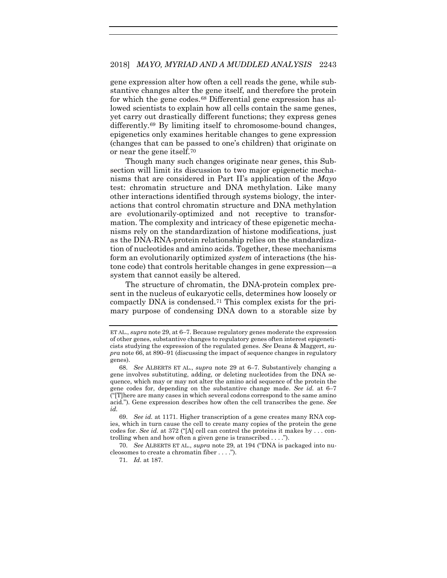gene expression alter how often a cell reads the gene, while substantive changes alter the gene itself, and therefore the protein for which the gene codes.<sup>[68](#page-15-0)</sup> Differential gene expression has allowed scientists to explain how all cells contain the same genes, yet carry out drastically different functions; they express genes differently[.69](#page-15-1) By limiting itself to chromosome-bound changes, epigenetics only examines heritable changes to gene expression (changes that can be passed to one's children) that originate on or near the gene itself.[70](#page-15-2)

Though many such changes originate near genes, this Subsection will limit its discussion to two major epigenetic mechanisms that are considered in Part II's application of the *Mayo*  test: chromatin structure and DNA methylation. Like many other interactions identified through systems biology, the interactions that control chromatin structure and DNA methylation are evolutionarily-optimized and not receptive to transformation. The complexity and intricacy of these epigenetic mechanisms rely on the standardization of histone modifications, just as the DNA-RNA-protein relationship relies on the standardization of nucleotides and amino acids. Together, these mechanisms form an evolutionarily optimized *system* of interactions (the histone code) that controls heritable changes in gene expression—a system that cannot easily be altered.

The structure of chromatin, the DNA-protein complex present in the nucleus of eukaryotic cells, determines how loosely or compactly DNA is condensed.[71](#page-15-3) This complex exists for the primary purpose of condensing DNA down to a storable size by

ET AL., *supra* note [29,](#page-7-5) at 6–7. Because regulatory genes moderate the expression of other genes, substantive changes to regulatory genes often interest epigeneticists studying the expression of the regulated genes. *See* Deans & Maggert, *supra* not[e 66,](#page-14-6) at 890–91 (discussing the impact of sequence changes in regulatory genes).

<span id="page-15-0"></span><sup>68.</sup> *See* ALBERTS ET AL., *supra* note [29](#page-7-5) at 6–7. Substantively changing a gene involves substituting, adding, or deleting nucleotides from the DNA sequence, which may or may not alter the amino acid sequence of the protein the gene codes for, depending on the substantive change made. *See id.* at 6–7 ("[T]here are many cases in which several codons correspond to the same amino acid."). Gene expression describes how often the cell transcribes the gene. *See id.*

<span id="page-15-1"></span><sup>69.</sup> *See id.* at 1171. Higher transcription of a gene creates many RNA copies, which in turn cause the cell to create many copies of the protein the gene codes for. *See id.* at 372 ("[A] cell can control the proteins it makes by . . . controlling when and how often a given gene is transcribed . . . .").

<span id="page-15-3"></span><span id="page-15-2"></span><sup>70.</sup> *See* ALBERTS ET AL., *supra* note [29,](#page-7-5) at 194 ("DNA is packaged into nucleosomes to create a chromatin fiber . . . .").

<sup>71.</sup> *Id.* at 187.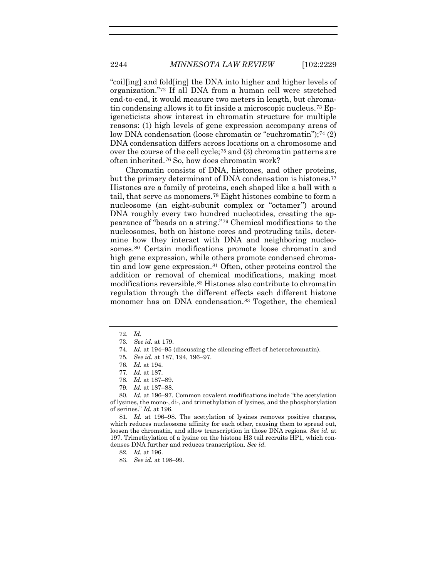"coil[ing] and fold[ing] the DNA into higher and higher levels of organization.["72](#page-16-0) If all DNA from a human cell were stretched end-to-end, it would measure two meters in length, but chromatin condensing allows it to fit inside a microscopic nucleus[.73](#page-16-1) Epigeneticists show interest in chromatin structure for multiple reasons: (1) high levels of gene expression accompany areas of low DNA condensation (loose chromatin or "euchromatin");<sup>[74](#page-16-2)</sup> (2) DNA condensation differs across locations on a chromosome and over the course of the cell cycle;[75](#page-16-3) and (3) chromatin patterns are often inherited.[76](#page-16-4) So, how does chromatin work?

Chromatin consists of DNA, histones, and other proteins, but the primary determinant of DNA condensation is histones.<sup>[77](#page-16-5)</sup> Histones are a family of proteins, each shaped like a ball with a tail, that serve as monomers.[78](#page-16-6) Eight histones combine to form a nucleosome (an eight-subunit complex or "octamer") around DNA roughly every two hundred nucleotides, creating the appearance of "beads on a string."[79](#page-16-7) Chemical modifications to the nucleosomes, both on histone cores and protruding tails, determine how they interact with DNA and neighboring nucleosomes.[80](#page-16-8) Certain modifications promote loose chromatin and high gene expression, while others promote condensed chromatin and low gene expression.[81](#page-16-9) Often, other proteins control the addition or removal of chemical modifications, making most modifications reversible.[82](#page-16-10) Histones also contribute to chromatin regulation through the different effects each different histone monomer has on DNA condensation.<sup>[83](#page-16-11)</sup> Together, the chemical

<span id="page-16-8"></span><span id="page-16-7"></span><span id="page-16-6"></span><span id="page-16-5"></span><span id="page-16-4"></span><span id="page-16-3"></span>80. *Id.* at 196–97. Common covalent modifications include "the acetylation of lysines, the mono-, di-, and trimethylation of lysines, and the phosphorylation of serines." *Id.* at 196.

<span id="page-16-11"></span><span id="page-16-10"></span><span id="page-16-9"></span>81. *Id.* at 196–98. The acetylation of lysines removes positive charges, which reduces nucleosome affinity for each other, causing them to spread out, loosen the chromatin, and allow transcription in those DNA regions. *See id.* at 197. Trimethylation of a lysine on the histone H3 tail recruits HP1, which condenses DNA further and reduces transcription. *See id.*

<span id="page-16-0"></span><sup>72.</sup> *Id.*

<span id="page-16-1"></span><sup>73.</sup> *See id.* at 179.

<span id="page-16-2"></span><sup>74.</sup> *Id.* at 194–95 (discussing the silencing effect of heterochromatin).

<sup>75.</sup> *See id.* at 187, 194, 196–97.

<sup>76.</sup> *Id.* at 194.

<sup>77.</sup> *Id.* at 187.

<sup>78.</sup> *Id.* at 187–89.

<sup>79.</sup> *Id.* at 187–88.

<sup>82.</sup> *Id.* at 196.

<sup>83.</sup> *See id.* at 198–99.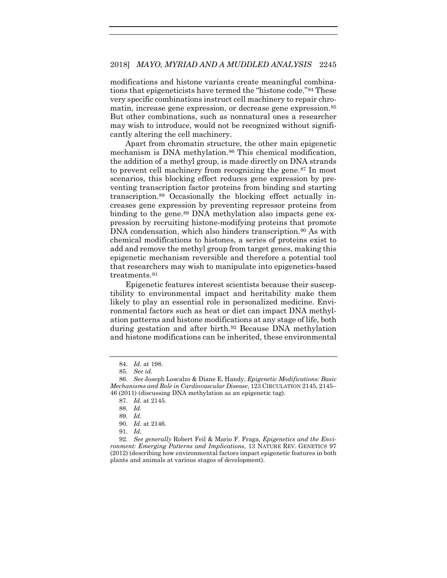modifications and histone variants create meaningful combinations that epigeneticists have termed the "histone code."[84](#page-17-0) These very specific combinations instruct cell machinery to repair chromatin, increase gene expression, or decrease gene expression.[85](#page-17-1) But other combinations, such as nonnatural ones a researcher may wish to introduce, would not be recognized without significantly altering the cell machinery.

Apart from chromatin structure, the other main epigenetic mechanism is DNA methylation.<sup>86</sup> This chemical modification, the addition of a methyl group, is made directly on DNA strands to prevent cell machinery from recognizing the gene.[87](#page-17-3) In most scenarios, this blocking effect reduces gene expression by preventing transcription factor proteins from binding and starting transcription.[88](#page-17-4) Occasionally the blocking effect actually increases gene expression by preventing repressor proteins from binding to the gene.<sup>[89](#page-17-5)</sup> DNA methylation also impacts gene expression by recruiting histone-modifying proteins that promote DNA condensation, which also hinders transcription.<sup>[90](#page-17-6)</sup> As with chemical modifications to histones, a series of proteins exist to add and remove the methyl group from target genes, making this epigenetic mechanism reversible and therefore a potential tool that researchers may wish to manipulate into epigenetics-based treatments.[91](#page-17-7)

Epigenetic features interest scientists because their susceptibility to environmental impact and heritability make them likely to play an essential role in personalized medicine. Environmental factors such as heat or diet can impact DNA methylation patterns and histone modifications at any stage of life, both during gestation and after birth.<sup>[92](#page-17-8)</sup> Because DNA methylation and histone modifications can be inherited, these environmental

<span id="page-17-9"></span><sup>84.</sup> *Id.* at 198.

<sup>85.</sup> *See id.*

<span id="page-17-4"></span><span id="page-17-3"></span><span id="page-17-2"></span><span id="page-17-1"></span><span id="page-17-0"></span><sup>86.</sup> *See* Joseph Loscalzo & Diane E. Handy, *Epigenetic Modifications: Basic Mechanisms and Role in Cardiovascular Disease*, 123 CIRCULATION 2145, 2145– 46 (2011) (discussing DNA methylation as an epigenetic tag).

<sup>87.</sup> *Id.* at 2145.

<sup>88.</sup> *Id.*

<sup>89.</sup> *Id.*

<sup>90.</sup> *Id.* at 2146.

<sup>91.</sup> *Id.*

<span id="page-17-8"></span><span id="page-17-7"></span><span id="page-17-6"></span><span id="page-17-5"></span><sup>92.</sup> *See generally* Robert Feil & Mario F. Fraga, *Epigenetics and the Environment: Emerging Patterns and Implications*, 13 NATURE REV. GENETICS 97 (2012) (describing how environmental factors impact epigenetic features in both plants and animals at various stages of development).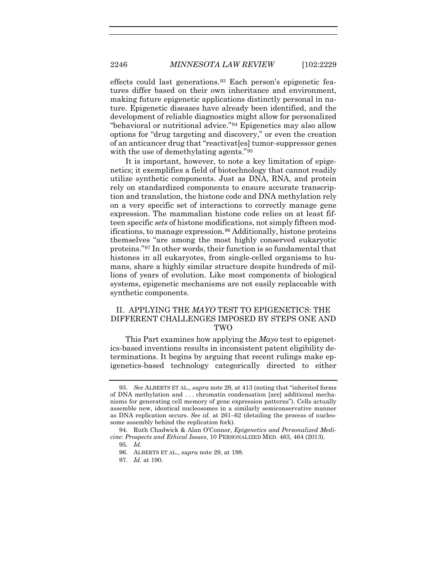effects could last generations.[93](#page-18-0) Each person's epigenetic features differ based on their own inheritance and environment, making future epigenetic applications distinctly personal in nature. Epigenetic diseases have already been identified, and the development of reliable diagnostics might allow for personalized "behavioral or nutritional advice."[94](#page-18-1) Epigenetics may also allow options for "drug targeting and discovery," or even the creation of an anticancer drug that "reactivat[es] tumor-suppressor genes with the use of demethylating agents."[95](#page-18-2)

<span id="page-18-7"></span><span id="page-18-5"></span>It is important, however, to note a key limitation of epigenetics; it exemplifies a field of biotechnology that cannot readily utilize synthetic components. Just as DNA, RNA, and protein rely on standardized components to ensure accurate transcription and translation, the histone code and DNA methylation rely on a very specific set of interactions to correctly manage gene expression. The mammalian histone code relies on at least fifteen specific *sets* of histone modifications, not simply fifteen mod-ifications, to manage expression.<sup>[96](#page-18-3)</sup> Additionally, histone proteins themselves "are among the most highly conserved eukaryotic proteins."[97](#page-18-4) In other words, their function is so fundamental that histones in all eukaryotes, from single-celled organisms to humans, share a highly similar structure despite hundreds of millions of years of evolution. Like most components of biological systems, epigenetic mechanisms are not easily replaceable with synthetic components.

# <span id="page-18-6"></span>II. APPLYING THE *MAYO* TEST TO EPIGENETICS: THE DIFFERENT CHALLENGES IMPOSED BY STEPS ONE AND TWO

This Part examines how applying the *Mayo* test to epigenetics-based inventions results in inconsistent patent eligibility determinations. It begins by arguing that recent rulings make epigenetics-based technology categorically directed to either

<span id="page-18-0"></span><sup>93.</sup> *See* ALBERTS ET AL., *supra* not[e 29,](#page-7-5) at 413 (noting that "inherited forms of DNA methylation and . . . chromatin condensation [are] additional mechanisms for generating cell memory of gene expression patterns"). Cells actually assemble new, identical nucleosomes in a similarly semiconservative manner as DNA replication occurs. *See id.* at 261–62 (detailing the process of nucleosome assembly behind the replication fork).

<span id="page-18-4"></span><span id="page-18-3"></span><span id="page-18-2"></span><span id="page-18-1"></span><sup>94.</sup> Ruth Chadwick & Alan O'Connor, *Epigenetics and Personalized Medicine: Prospects and Ethical Issues*, 10 PERSONALIZED MED. 463, 464 (2013).

<sup>95.</sup> *Id.*

<sup>96.</sup> ALBERTS ET AL., *supra* not[e 29,](#page-7-5) at 198.

<sup>97.</sup> *Id.* at 190.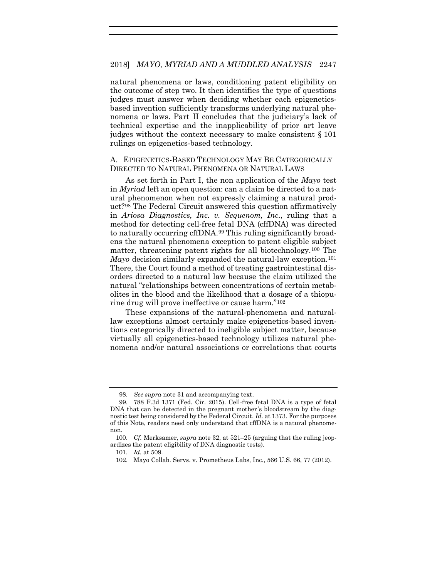natural phenomena or laws, conditioning patent eligibility on the outcome of step two. It then identifies the type of questions judges must answer when deciding whether each epigeneticsbased invention sufficiently transforms underlying natural phenomena or laws. Part II concludes that the judiciary's lack of technical expertise and the inapplicability of prior art leave judges without the context necessary to make consistent § 101 rulings on epigenetics-based technology.

# A. EPIGENETICS-BASED TECHNOLOGY MAY BE CATEGORICALLY DIRECTED TO NATURAL PHENOMENA OR NATURAL LAWS

As set forth in Part I, the non application of the *Mayo* test in *Myriad* left an open question: can a claim be directed to a natural phenomenon when not expressly claiming a natural product?[98](#page-19-0) The Federal Circuit answered this question affirmatively in *Ariosa Diagnostics, Inc. v. Sequenom, Inc.*, ruling that a method for detecting cell-free fetal DNA (cffDNA) was directed to naturally occurring cffDNA.[99](#page-19-1) This ruling significantly broadens the natural phenomena exception to patent eligible subject matter, threatening patent rights for all biotechnology[.100](#page-19-2) The *Mayo* decision similarly expanded the natural-law exception.<sup>[101](#page-19-3)</sup> There, the Court found a method of treating gastrointestinal disorders directed to a natural law because the claim utilized the natural "relationships between concentrations of certain metabolites in the blood and the likelihood that a dosage of a thiopurine drug will prove ineffective or cause harm."[102](#page-19-4)

These expansions of the natural-phenomena and naturallaw exceptions almost certainly make epigenetics-based inventions categorically directed to ineligible subject matter, because virtually all epigenetics-based technology utilizes natural phenomena and/or natural associations or correlations that courts

<sup>98.</sup> *See supra* note [31](#page-8-4) and accompanying text.

<span id="page-19-1"></span><span id="page-19-0"></span><sup>99.</sup> 788 F.3d 1371 (Fed. Cir. 2015). Cell-free fetal DNA is a type of fetal DNA that can be detected in the pregnant mother 's bloodstream by the diagnostic test being considered by the Federal Circuit. *Id.* at 1373. For the purposes of this Note, readers need only understand that cffDNA is a natural phenomenon.

<span id="page-19-4"></span><span id="page-19-3"></span><span id="page-19-2"></span><sup>100.</sup> *Cf.* Merksamer, *supra* note [32,](#page-8-5) at 521–25 (arguing that the ruling jeopardizes the patent eligibility of DNA diagnostic tests).

<sup>101.</sup> *Id.* at 509.

<sup>102.</sup> Mayo Collab. Servs. v. Prometheus Labs, Inc., 566 U.S. 66, 77 (2012).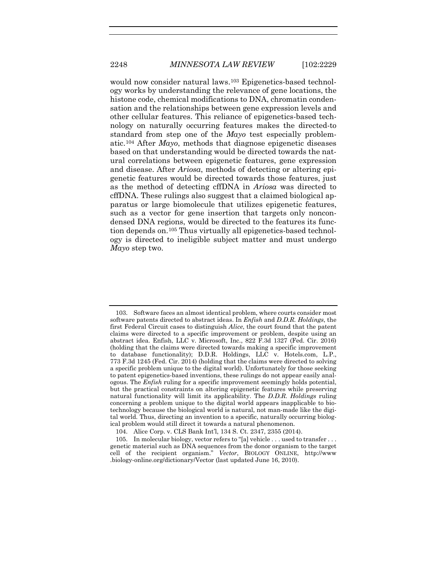would now consider natural laws.[103](#page-20-0) Epigenetics-based technology works by understanding the relevance of gene locations, the histone code, chemical modifications to DNA, chromatin condensation and the relationships between gene expression levels and other cellular features. This reliance of epigenetics-based technology on naturally occurring features makes the directed-to standard from step one of the *Mayo* test especially problematic.[104](#page-20-1) After *Mayo*, methods that diagnose epigenetic diseases based on that understanding would be directed towards the natural correlations between epigenetic features, gene expression and disease. After *Ariosa*, methods of detecting or altering epigenetic features would be directed towards those features, just as the method of detecting cffDNA in *Ariosa* was directed to cffDNA. These rulings also suggest that a claimed biological apparatus or large biomolecule that utilizes epigenetic features, such as a vector for gene insertion that targets only noncondensed DNA regions, would be directed to the features its function depends on.[105](#page-20-2) Thus virtually all epigenetics-based technology is directed to ineligible subject matter and must undergo *Mayo* step two.

<span id="page-20-0"></span><sup>103.</sup> Software faces an almost identical problem, where courts consider most software patents directed to abstract ideas. In *Enfish* and *D.D.R. Holdings*, the first Federal Circuit cases to distinguish *Alice*, the court found that the patent claims were directed to a specific improvement or problem, despite using an abstract idea. Enfish, LLC v. Microsoft, Inc., 822 F.3d 1327 (Fed. Cir. 2016) (holding that the claims were directed towards making a specific improvement to database functionality); D.D.R. Holdings, LLC v. Hotels.com, L.P., 773 F.3d 1245 (Fed. Cir. 2014) (holding that the claims were directed to solving a specific problem unique to the digital world). Unfortunately for those seeking to patent epigenetics-based inventions, these rulings do not appear easily analogous. The *Enfish* ruling for a specific improvement seemingly holds potential, but the practical constraints on altering epigenetic features while preserving natural functionality will limit its applicability. The *D.D.R. Holdings* ruling concerning a problem unique to the digital world appears inapplicable to biotechnology because the biological world is natural, not man-made like the digital world. Thus, directing an invention to a specific, naturally occurring biological problem would still direct it towards a natural phenomenon.

<sup>104.</sup> Alice Corp. v. CLS Bank Int'l, 134 S. Ct. 2347, 2355 (2014).

<span id="page-20-2"></span><span id="page-20-1"></span><sup>105.</sup> In molecular biology, vector refers to "[a] vehicle . . . used to transfer . . . genetic material such as DNA sequences from the donor organism to the target cell of the recipient organism." *Vector*, BIOLOGY ONLINE, http://www .biology-online.org/dictionary/Vector (last updated June 16, 2010).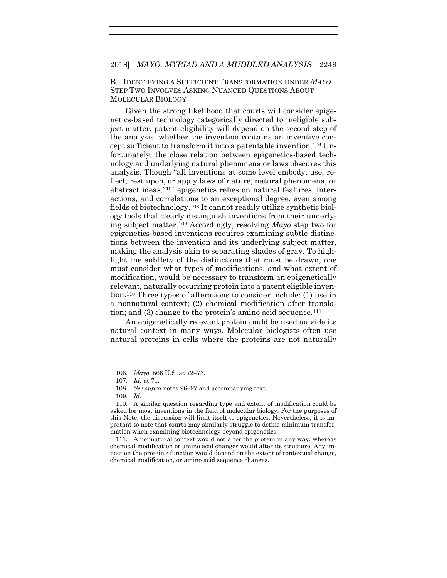# B. IDENTIFYING A SUFFICIENT TRANSFORMATION UNDER *MAYO* STEP TWO INVOLVES ASKING NUANCED QUESTIONS ABOUT MOLECULAR BIOLOGY

Given the strong likelihood that courts will consider epigenetics-based technology categorically directed to ineligible subject matter, patent eligibility will depend on the second step of the analysis: whether the invention contains an inventive concept sufficient to transform it into a patentable invention[.106](#page-21-0) Unfortunately, the close relation between epigenetics-based technology and underlying natural phenomena or laws obscures this analysis. Though "all inventions at some level embody, use, reflect, rest upon, or apply laws of nature, natural phenomena, or abstract ideas,["107](#page-21-1) epigenetics relies on natural features, interactions, and correlations to an exceptional degree, even among fields of biotechnology.[108](#page-21-2) It cannot readily utilize synthetic biology tools that clearly distinguish inventions from their underlying subject matter.[109](#page-21-3) Accordingly, resolving *Mayo* step two for epigenetics-based inventions requires examining subtle distinctions between the invention and its underlying subject matter, making the analysis akin to separating shades of gray. To highlight the subtlety of the distinctions that must be drawn, one must consider what types of modifications, and what extent of modification, would be necessary to transform an epigenetically relevant, naturally occurring protein into a patent eligible invention[.110](#page-21-4) Three types of alterations to consider include: (1) use in a nonnatural context; (2) chemical modification after transla-tion; and (3) change to the protein's amino acid sequence.<sup>[111](#page-21-5)</sup>

An epigenetically relevant protein could be used outside its natural context in many ways. Molecular biologists often use natural proteins in cells where the proteins are not naturally

<sup>106.</sup> *Mayo*, 566 U.S. at 72–73.

<sup>107.</sup> *Id.* at 71.

<sup>108.</sup> *See supra* note[s 96](#page-18-5)[–97](#page-18-6) and accompanying text.

<sup>109.</sup> *Id.*

<span id="page-21-4"></span><span id="page-21-3"></span><span id="page-21-2"></span><span id="page-21-1"></span><span id="page-21-0"></span><sup>110.</sup> A similar question regarding type and extent of modification could be asked for most inventions in the field of molecular biology. For the purposes of this Note, the discussion will limit itself to epigenetics. Nevertheless, it is important to note that courts may similarly struggle to define minimum transformation when examining biotechnology beyond epigenetics.

<span id="page-21-5"></span><sup>111.</sup> A nonnatural context would not alter the protein in any way, whereas chemical modification or amino acid changes would alter its structure. Any impact on the protein's function would depend on the extent of contextual change, chemical modification, or amino acid sequence changes.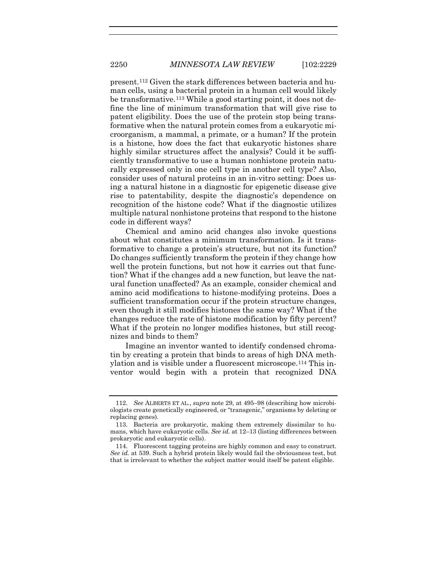<span id="page-22-3"></span>present.[112](#page-22-0) Given the stark differences between bacteria and human cells, using a bacterial protein in a human cell would likely be transformative.[113](#page-22-1) While a good starting point, it does not define the line of minimum transformation that will give rise to patent eligibility. Does the use of the protein stop being transformative when the natural protein comes from a eukaryotic microorganism, a mammal, a primate, or a human? If the protein is a histone, how does the fact that eukaryotic histones share highly similar structures affect the analysis? Could it be sufficiently transformative to use a human nonhistone protein naturally expressed only in one cell type in another cell type? Also, consider uses of natural proteins in an in-vitro setting: Does using a natural histone in a diagnostic for epigenetic disease give rise to patentability, despite the diagnostic's dependence on recognition of the histone code? What if the diagnostic utilizes multiple natural nonhistone proteins that respond to the histone code in different ways?

Chemical and amino acid changes also invoke questions about what constitutes a minimum transformation. Is it transformative to change a protein's structure, but not its function? Do changes sufficiently transform the protein if they change how well the protein functions, but not how it carries out that function? What if the changes add a new function, but leave the natural function unaffected? As an example, consider chemical and amino acid modifications to histone-modifying proteins. Does a sufficient transformation occur if the protein structure changes, even though it still modifies histones the same way? What if the changes reduce the rate of histone modification by fifty percent? What if the protein no longer modifies histones, but still recognizes and binds to them?

Imagine an inventor wanted to identify condensed chromatin by creating a protein that binds to areas of high DNA methylation and is visible under a fluorescent microscope.[114](#page-22-2) This inventor would begin with a protein that recognized DNA

<span id="page-22-0"></span><sup>112.</sup> *See* ALBERTS ET AL., *supra* note [29,](#page-7-5) at 495–98 (describing how microbiologists create genetically engineered, or "transgenic," organisms by deleting or replacing genes).

<span id="page-22-1"></span><sup>113.</sup> Bacteria are prokaryotic, making them extremely dissimilar to humans, which have eukaryotic cells. *See id.* at 12–13 (listing differences between prokaryotic and eukaryotic cells).

<span id="page-22-2"></span><sup>114.</sup> Fluorescent tagging proteins are highly common and easy to construct. *See id.* at 539. Such a hybrid protein likely would fail the obviousness test, but that is irrelevant to whether the subject matter would itself be patent eligible.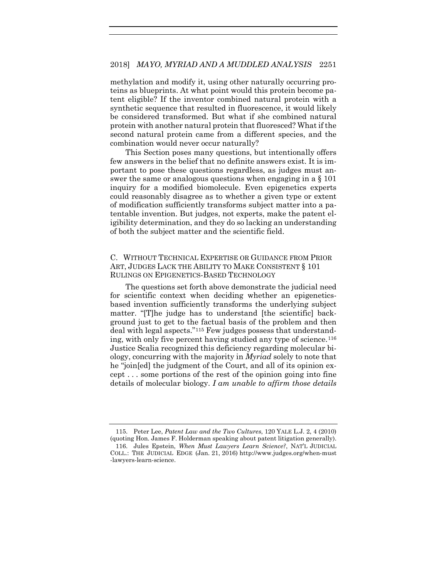methylation and modify it, using other naturally occurring proteins as blueprints. At what point would this protein become patent eligible? If the inventor combined natural protein with a synthetic sequence that resulted in fluorescence, it would likely be considered transformed. But what if she combined natural protein with another natural protein that fluoresced? What if the second natural protein came from a different species, and the combination would never occur naturally?

This Section poses many questions, but intentionally offers few answers in the belief that no definite answers exist. It is important to pose these questions regardless, as judges must answer the same or analogous questions when engaging in a § 101 inquiry for a modified biomolecule. Even epigenetics experts could reasonably disagree as to whether a given type or extent of modification sufficiently transforms subject matter into a patentable invention. But judges, not experts, make the patent eligibility determination, and they do so lacking an understanding of both the subject matter and the scientific field.

# C. WITHOUT TECHNICAL EXPERTISE OR GUIDANCE FROM PRIOR ART, JUDGES LACK THE ABILITY TO MAKE CONSISTENT § 101 RULINGS ON EPIGENETICS-BASED TECHNOLOGY

<span id="page-23-2"></span>The questions set forth above demonstrate the judicial need for scientific context when deciding whether an epigeneticsbased invention sufficiently transforms the underlying subject matter. "[T]he judge has to understand [the scientific] background just to get to the factual basis of the problem and then deal with legal aspects."[115](#page-23-0) Few judges possess that understanding, with only five percent having studied any type of science.[116](#page-23-1) Justice Scalia recognized this deficiency regarding molecular biology, concurring with the majority in *Myriad* solely to note that he "join[ed] the judgment of the Court, and all of its opinion except . . . some portions of the rest of the opinion going into fine details of molecular biology. *I am unable to affirm those details* 

<span id="page-23-1"></span><span id="page-23-0"></span><sup>115.</sup> Peter Lee, *Patent Law and the Two Cultures*, 120 YALE L.J. 2, 4 (2010) (quoting Hon. James F. Holderman speaking about patent litigation generally). 116. Jules Epstein, *When Must Lawyers Learn Science?*, NAT'L JUDICIAL COLL.: THE JUDICIAL EDGE (Jan. 21, 2016) http://www.judges.org/when-must -lawyers-learn-science.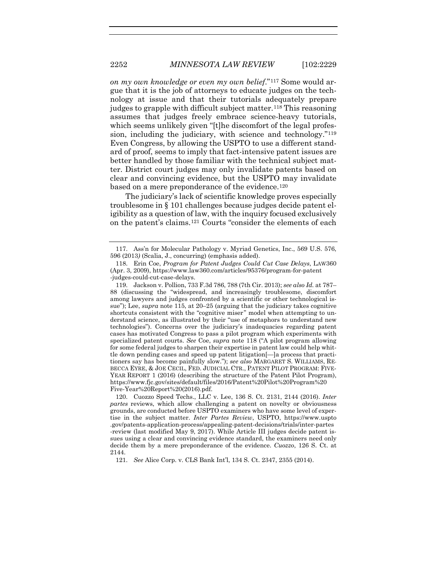<span id="page-24-6"></span><span id="page-24-0"></span>*on my own knowledge or even my own belief*."[117](#page-24-1) Some would argue that it is the job of attorneys to educate judges on the technology at issue and that their tutorials adequately prepare judges to grapple with difficult subject matter.[118](#page-24-2) This reasoning assumes that judges freely embrace science-heavy tutorials, which seems unlikely given "[t]he discomfort of the legal profession, including the judiciary, with science and technology."[119](#page-24-3) Even Congress, by allowing the USPTO to use a different standard of proof, seems to imply that fact-intensive patent issues are better handled by those familiar with the technical subject matter. District court judges may only invalidate patents based on clear and convincing evidence, but the USPTO may invalidate based on a mere preponderance of the evidence.[120](#page-24-4)

The judiciary's lack of scientific knowledge proves especially troublesome in § 101 challenges because judges decide patent eligibility as a question of law, with the inquiry focused exclusively on the patent's claims.[121](#page-24-5) Courts "consider the elements of each

<span id="page-24-3"></span>119. Jackson v. Pollion, 733 F.3d 786, 788 (7th Cir. 2013); *see also Id.* at 787– 88 (discussing the "widespread, and increasingly troublesome, discomfort among lawyers and judges confronted by a scientific or other technological issue"); Lee, *supra* note [115,](#page-23-2) at 20–25 (arguing that the judiciary takes cognitive shortcuts consistent with the "cognitive miser" model when attempting to understand science, as illustrated by their "use of metaphors to understand new technologies"). Concerns over the judiciary's inadequacies regarding patent cases has motivated Congress to pass a pilot program which experiments with specialized patent courts. *See* Coe, *supra* note [118](#page-24-0) ("A pilot program allowing for some federal judges to sharpen their expertise in patent law could help whittle down pending cases and speed up patent litigation[—]a process that practitioners say has become painfully slow."); *see also* MARGARET S. WILLIAMS, RE-BECCA EYRE, & JOE CECIL, FED. JUDICIAL CTR., PATENT PILOT PROGRAM: FIVE-YEAR REPORT 1 (2016) (describing the structure of the Patent Pilot Program), https://www.fjc.gov/sites/default/files/2016/Patent%20Pilot%20Program%20 Five-Year%20Report%20(2016).pdf.

<span id="page-24-4"></span>120. Cuozzo Speed Techs., LLC v. Lee, 136 S. Ct. 2131, 2144 (2016). *Inter partes* reviews, which allow challenging a patent on novelty or obviousness grounds, are conducted before USPTO examiners who have some level of expertise in the subject matter. *Inter Partes Review*, USPTO, https://www.uspto .gov/patents-application-process/appealing-patent-decisions/trials/inter-partes -review (last modified May 9, 2017). While Article III judges decide patent issues using a clear and convincing evidence standard, the examiners need only decide them by a mere preponderance of the evidence. *Cuozzo*, 126 S. Ct. at 2144.

<span id="page-24-5"></span>121. *See* Alice Corp. v. CLS Bank Int'l, 134 S. Ct. 2347, 2355 (2014).

<span id="page-24-1"></span><sup>117.</sup> Ass'n for Molecular Pathology v. Myriad Genetics, Inc., 569 U.S. 576, 596 (2013*)* (Scalia, J., concurring) (emphasis added).

<span id="page-24-2"></span><sup>118.</sup> Erin Coe, *Program for Patent Judges Could Cut Case Delays*, LAW360 (Apr. 3, 2009), https://www.law360.com/articles/95376/program-for-patent -judges-could-cut-case-delays.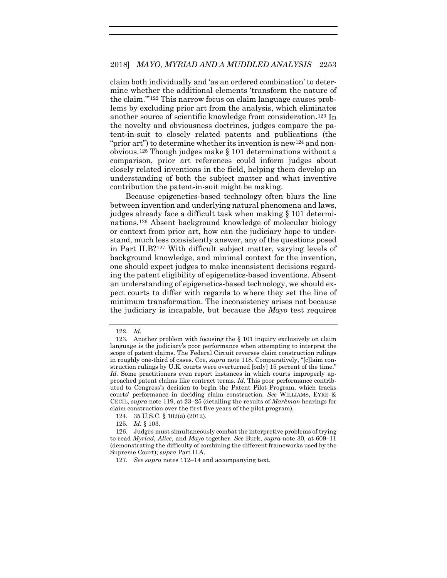claim both individually and 'as an ordered combination' to determine whether the additional elements 'transform the nature of the claim.'"[122](#page-25-0) This narrow focus on claim language causes problems by excluding prior art from the analysis, which eliminates another source of scientific knowledge from consideration.[123](#page-25-1) In the novelty and obviousness doctrines, judges compare the patent-in-suit to closely related patents and publications (the "prior art") to determine whether its invention is new<sup>[124](#page-25-2)</sup> and nonobvious.[125](#page-25-3) Though judges make § 101 determinations without a comparison, prior art references could inform judges about closely related inventions in the field, helping them develop an understanding of both the subject matter and what inventive contribution the patent-in-suit might be making.

Because epigenetics-based technology often blurs the line between invention and underlying natural phenomena and laws, judges already face a difficult task when making § 101 determinations.[126](#page-25-4) Absent background knowledge of molecular biology or context from prior art, how can the judiciary hope to understand, much less consistently answer, any of the questions posed in Part II.B?[127](#page-25-5) With difficult subject matter, varying levels of background knowledge, and minimal context for the invention, one should expect judges to make inconsistent decisions regarding the patent eligibility of epigenetics-based inventions. Absent an understanding of epigenetics-based technology, we should expect courts to differ with regards to where they set the line of minimum transformation. The inconsistency arises not because the judiciary is incapable, but because the *Mayo* test requires

<sup>122.</sup> *Id.*

<span id="page-25-1"></span><span id="page-25-0"></span><sup>123.</sup> Another problem with focusing the  $\S$  101 inquiry exclusively on claim language is the judiciary's poor performance when attempting to interpret the scope of patent claims. The Federal Circuit reverses claim construction rulings in roughly one-third of cases. Coe, *supra* not[e 118.](#page-24-0) Comparatively, "[c]laim construction rulings by U.K. courts were overturned [only] 15 percent of the time." *Id.* Some practitioners even report instances in which courts improperly approached patent claims like contract terms. *Id.* This poor performance contributed to Congress's decision to begin the Patent Pilot Program, which tracks courts' performance in deciding claim construction. *See* WILLIAMS, EYRE & CECIL, *supra* not[e 119,](#page-24-6) at 23–25 (detailing the results of *Markman* hearings for claim construction over the first five years of the pilot program).

<sup>124.</sup> 35 U.S.C. § 102(a) (2012).

<sup>125.</sup> *Id.* § 103.

<span id="page-25-5"></span><span id="page-25-4"></span><span id="page-25-3"></span><span id="page-25-2"></span><sup>126.</sup> Judges must simultaneously combat the interpretive problems of trying to read *Myriad*, *Alice*, and *Mayo* together. *See* Burk, *supra* note [30,](#page-8-0) at 609–11 (demonstrating the difficulty of combining the different frameworks used by the Supreme Court); *supra* Part II.A.

<sup>127.</sup> *See supra* note[s 112–](#page-22-3)14 and accompanying text.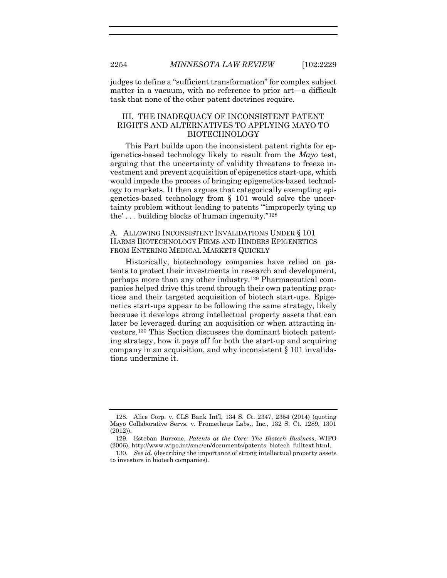judges to define a "sufficient transformation" for complex subject matter in a vacuum, with no reference to prior art—a difficult task that none of the other patent doctrines require.

# III. THE INADEQUACY OF INCONSISTENT PATENT RIGHTS AND ALTERNATIVES TO APPLYING MAYO TO BIOTECHNOLOGY

This Part builds upon the inconsistent patent rights for epigenetics-based technology likely to result from the *Mayo* test, arguing that the uncertainty of validity threatens to freeze investment and prevent acquisition of epigenetics start-ups, which would impede the process of bringing epigenetics-based technology to markets. It then argues that categorically exempting epigenetics-based technology from § 101 would solve the uncertainty problem without leading to patents "'improperly tying up the' . . . building blocks of human ingenuity."[128](#page-26-0)

# A. ALLOWING INCONSISTENT INVALIDATIONS UNDER § 101 HARMS BIOTECHNOLOGY FIRMS AND HINDERS EPIGENETICS FROM ENTERING MEDICAL MARKETS QUICKLY

Historically, biotechnology companies have relied on patents to protect their investments in research and development, perhaps more than any other industry.[129](#page-26-1) Pharmaceutical companies helped drive this trend through their own patenting practices and their targeted acquisition of biotech start-ups. Epigenetics start-ups appear to be following the same strategy, likely because it develops strong intellectual property assets that can later be leveraged during an acquisition or when attracting investors.[130](#page-26-2) This Section discusses the dominant biotech patenting strategy, how it pays off for both the start-up and acquiring company in an acquisition, and why inconsistent § 101 invalidations undermine it.

<span id="page-26-0"></span><sup>128.</sup> Alice Corp. v. CLS Bank Int'l, 134 S. Ct. 2347, 2354 (2014) (quoting Mayo Collaborative Servs. v. Prometheus Labs., Inc., 132 S. Ct. 1289, 1301 (2012)).

<span id="page-26-1"></span><sup>129.</sup> Esteban Burrone, *Patents at the Core: The Biotech Business*, WIPO (2006), http://www.wipo.int/sme/en/documents/patents\_biotech\_fulltext.html.

<span id="page-26-2"></span><sup>130.</sup> *See id.* (describing the importance of strong intellectual property assets to investors in biotech companies).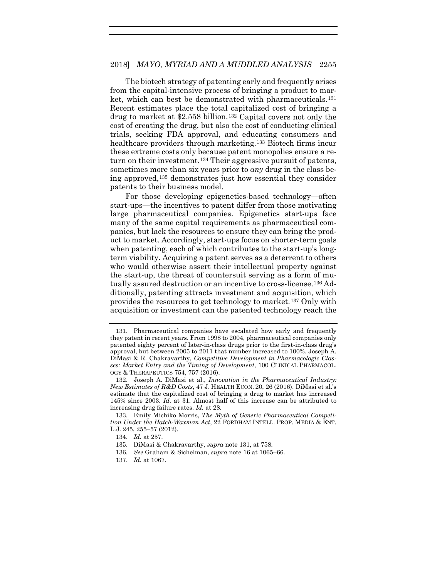<span id="page-27-8"></span><span id="page-27-0"></span>The biotech strategy of patenting early and frequently arises from the capital-intensive process of bringing a product to market, which can best be demonstrated with pharmaceuticals[.131](#page-27-1) Recent estimates place the total capitalized cost of bringing a drug to market at \$2.558 billion.[132](#page-27-2) Capital covers not only the cost of creating the drug, but also the cost of conducting clinical trials, seeking FDA approval, and educating consumers and healthcare providers through marketing[.133](#page-27-3) Biotech firms incur these extreme costs only because patent monopolies ensure a return on their investment.[134](#page-27-4) Their aggressive pursuit of patents, sometimes more than six years prior to *any* drug in the class being approved,[135](#page-27-5) demonstrates just how essential they consider patents to their business model.

For those developing epigenetics-based technology—often start-ups—the incentives to patent differ from those motivating large pharmaceutical companies. Epigenetics start-ups face many of the same capital requirements as pharmaceutical companies, but lack the resources to ensure they can bring the product to market. Accordingly, start-ups focus on shorter-term goals when patenting, each of which contributes to the start-up's longterm viability. Acquiring a patent serves as a deterrent to others who would otherwise assert their intellectual property against the start-up, the threat of countersuit serving as a form of mutually assured destruction or an incentive to cross-license.[136](#page-27-6) Additionally, patenting attracts investment and acquisition, which provides the resources to get technology to market.[137](#page-27-7) Only with acquisition or investment can the patented technology reach the

<span id="page-27-1"></span><sup>131.</sup> Pharmaceutical companies have escalated how early and frequently they patent in recent years. From 1998 to 2004, pharmaceutical companies only patented eighty percent of later-in-class drugs prior to the first-in-class drug's approval, but between 2005 to 2011 that number increased to 100%. Joseph A. DiMasi & R. Chakravarthy, *Competitive Development in Pharmacologic Classes: Market Entry and the Timing of Development*, 100 CLINICAL PHARMACOL-OGY & THERAPEUTICS 754, 757 (2016).

<span id="page-27-2"></span><sup>132.</sup> Joseph A. DiMasi et al., *Innovation in the Pharmaceutical Industry: New Estimates of R&D Costs*, 47 J. HEALTH ECON. 20, 26 (2016). DiMasi et al.'s estimate that the capitalized cost of bringing a drug to market has increased 145% since 2003. *Id.* at 31. Almost half of this increase can be attributed to increasing drug failure rates. *Id.* at 28.

<span id="page-27-5"></span><span id="page-27-4"></span><span id="page-27-3"></span><sup>133.</sup> Emily Michiko Morris, *The Myth of Generic Pharmaceutical Competition Under the Hatch-Waxman Act*, 22 FORDHAM INTELL. PROP. MEDIA & ENT. L.J. 245, 255–57 (2012).

<sup>134.</sup> *Id.* at 257.

<sup>135.</sup> DiMasi & Chakravarthy, *supra* note [131,](#page-27-0) at 758.

<span id="page-27-6"></span><sup>136.</sup> *See* Graham & Sichelman, *supra* note [16](#page-4-4) at 1065–66.

<span id="page-27-7"></span><sup>137.</sup> *Id.* at 1067.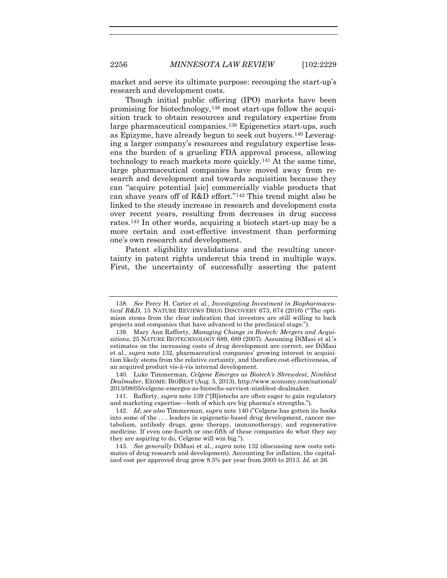market and serve its ultimate purpose: recouping the start-up's research and development costs.

<span id="page-28-8"></span><span id="page-28-1"></span><span id="page-28-0"></span>Though initial public offering (IPO) markets have been promising for biotechnology,[138](#page-28-2) most start-ups follow the acquisition track to obtain resources and regulatory expertise from large pharmaceutical companies.[139](#page-28-3) Epigenetics start-ups, such as Epizyme, have already begun to seek out buyers[.140](#page-28-4) Leveraging a larger company's resources and regulatory expertise lessens the burden of a grueling FDA approval process, allowing technology to reach markets more quickly.[141](#page-28-5) At the same time, large pharmaceutical companies have moved away from research and development and towards acquisition because they can "acquire potential [sic] commercially viable products that can shave years off of R&D effort."[142](#page-28-6) This trend might also be linked to the steady increase in research and development costs over recent years, resulting from decreases in drug success rates.[143](#page-28-7) In other words, acquiring a biotech start-up may be a more certain and cost-effective investment than performing one's own research and development.

Patent eligibility invalidations and the resulting uncertainty in patent rights undercut this trend in multiple ways. First, the uncertainty of successfully asserting the patent

<span id="page-28-2"></span><sup>138.</sup> *See* Percy H. Carter et al., *Investigating Investment in Biopharmaceutical R&D*, 15 NATURE REVIEWS DRUG DISCOVERY 673, 674 (2016) ("The optimism stems from the clear indication that investors are still willing to back projects and companies that have advanced to the preclinical stage.").

<span id="page-28-3"></span><sup>139.</sup> Mary Ann Rafferty, *Managing Change in Biotech: Mergers and Acquisitions*, 25 NATURE BIOTECHNOLOGY 689, 689 (2007). Assuming DiMasi et al.'s estimates on the increasing costs of drug development are correct, *see* DiMasi et al., *supra* note [132,](#page-27-8) pharmaceutical companies' growing interest in acquisition likely stems from the relative certainty, and therefore cost-effectiveness, of an acquired product vis-à-vis internal development.

<span id="page-28-4"></span><sup>140.</sup> Luke Timmerman, *Celgene Emerges as Biotech's Shrewdest*, *Nimblest Dealmaker*, EXOME: BIOBEAT (Aug. 5, 2013), http://www.xconomy.com/national/ 2013/08/05/celgene-emerges-as-biotechs-savviest-nimblest-dealmaker.

<span id="page-28-5"></span><sup>141.</sup> Rafferty, *supra* not[e 139](#page-28-0) ("[B]iotechs are often eager to gain regulatory and marketing expertise—both of which are big pharma's strengths.").

<span id="page-28-6"></span><sup>142.</sup> *Id*; *see also* Timmerman, *supra* note [140](#page-28-1) ("Celgene has gotten its hooks into some of the . . . leaders in epigenetic-based drug development, cancer metabolism, antibody drugs, gene therapy, immunotherapy, and regenerative medicine. If even one-fourth or one-fifth of these companies do what they say they are aspiring to do, Celgene will win big.").

<span id="page-28-7"></span><sup>143.</sup> *See generally* DiMasi et al., *supra* note [132](#page-27-8) (discussing new costs estimates of drug research and development). Accounting for inflation, the capitalized cost per approved drug grew 8.5% per year from 2005 to 2013. *Id.* at 26.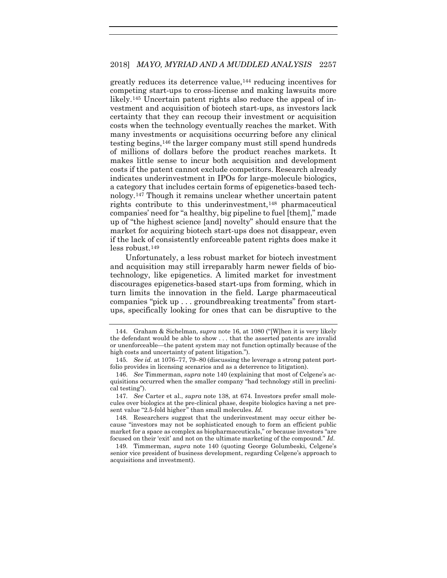greatly reduces its deterrence value,[144](#page-29-0) reducing incentives for competing start-ups to cross-license and making lawsuits more likely[.145](#page-29-1) Uncertain patent rights also reduce the appeal of investment and acquisition of biotech start-ups, as investors lack certainty that they can recoup their investment or acquisition costs when the technology eventually reaches the market. With many investments or acquisitions occurring before any clinical testing begins,[146](#page-29-2) the larger company must still spend hundreds of millions of dollars before the product reaches markets. It makes little sense to incur both acquisition and development costs if the patent cannot exclude competitors. Research already indicates underinvestment in IPOs for large-molecule biologics, a category that includes certain forms of epigenetics-based technology.[147](#page-29-3) Though it remains unclear whether uncertain patent rights contribute to this underinvestment,[148](#page-29-4) pharmaceutical companies' need for "a healthy, big pipeline to fuel [them]," made up of "the highest science [and] novelty" should ensure that the market for acquiring biotech start-ups does not disappear, even if the lack of consistently enforceable patent rights does make it less robust.[149](#page-29-5)

Unfortunately, a less robust market for biotech investment and acquisition may still irreparably harm newer fields of biotechnology, like epigenetics. A limited market for investment discourages epigenetics-based start-ups from forming, which in turn limits the innovation in the field. Large pharmaceutical companies "pick up . . . groundbreaking treatments" from startups, specifically looking for ones that can be disruptive to the

<span id="page-29-0"></span><sup>144.</sup> Graham & Sichelman, *supra* note [16,](#page-4-4) at 1080 ("[W]hen it is very likely the defendant would be able to show . . . that the asserted patents are invalid or unenforceable—the patent system may not function optimally because of the high costs and uncertainty of patent litigation.").

<span id="page-29-1"></span><sup>145.</sup> *See id.* at 1076–77, 79–80 (discussing the leverage a strong patent portfolio provides in licensing scenarios and as a deterrence to litigation).

<span id="page-29-2"></span><sup>146.</sup> *See* Timmerman, *supra* note [140](#page-28-1) (explaining that most of Celgene's acquisitions occurred when the smaller company "had technology still in preclinical testing").

<span id="page-29-3"></span><sup>147.</sup> *See* Carter et al., *supra* note [138,](#page-28-8) at 674. Investors prefer small molecules over biologics at the pre-clinical phase, despite biologics having a net present value "2.5-fold higher" than small molecules. *Id.* 

<span id="page-29-4"></span><sup>148.</sup> Researchers suggest that the underinvestment may occur either because "investors may not be sophisticated enough to form an efficient public market for a space as complex as biopharmaceuticals," or because investors "are focused on their 'exit' and not on the ultimate marketing of the compound." *Id.*

<span id="page-29-5"></span><sup>149.</sup> Timmerman, *supra* note [140](#page-28-1) (quoting George Golumbeski, Celgene's senior vice president of business development, regarding Celgene's approach to acquisitions and investment).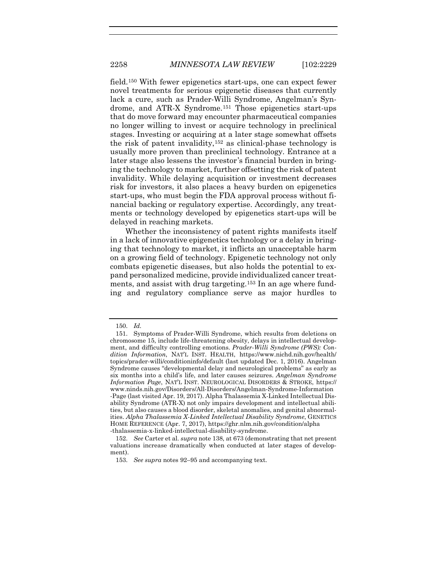field.[150](#page-30-0) With fewer epigenetics start-ups, one can expect fewer novel treatments for serious epigenetic diseases that currently lack a cure, such as Prader-Willi Syndrome, Angelman's Syndrome, and ATR-X Syndrome.[151](#page-30-1) Those epigenetics start-ups that do move forward may encounter pharmaceutical companies no longer willing to invest or acquire technology in preclinical stages. Investing or acquiring at a later stage somewhat offsets the risk of patent invalidity,[152](#page-30-2) as clinical-phase technology is usually more proven than preclinical technology. Entrance at a later stage also lessens the investor's financial burden in bringing the technology to market, further offsetting the risk of patent invalidity. While delaying acquisition or investment decreases risk for investors, it also places a heavy burden on epigenetics start-ups, who must begin the FDA approval process without financial backing or regulatory expertise. Accordingly, any treatments or technology developed by epigenetics start-ups will be delayed in reaching markets.

Whether the inconsistency of patent rights manifests itself in a lack of innovative epigenetics technology or a delay in bringing that technology to market, it inflicts an unacceptable harm on a growing field of technology. Epigenetic technology not only combats epigenetic diseases, but also holds the potential to expand personalized medicine, provide individualized cancer treatments, and assist with drug targeting.[153](#page-30-3) In an age where funding and regulatory compliance serve as major hurdles to

<sup>150.</sup> *Id.*

<span id="page-30-1"></span><span id="page-30-0"></span><sup>151.</sup> Symptoms of Prader-Willi Syndrome, which results from deletions on chromosome 15, include life-threatening obesity, delays in intellectual development, and difficulty controlling emotions. *Prader-Willi Syndrome (PWS): Condition Information*, NAT'L INST. HEALTH, https://www.nichd.nih.gov/health/ topics/prader-willi/conditioninfo/default (last updated Dec. 1, 2016). Angelman Syndrome causes "developmental delay and neurological problems" as early as six months into a child's life, and later causes seizures. *Angelman Syndrome Information Page*, NAT'L INST. NEUROLOGICAL DISORDERS & STROKE, https:// www.ninds.nih.gov/Disorders/All-Disorders/Angelman-Syndrome-Information -Page (last visited Apr. 19, 2017). Alpha Thalassemia X-Linked Intellectual Disability Syndrome (ATR-X) not only impairs development and intellectual abilities, but also causes a blood disorder, skeletal anomalies, and genital abnormalities. *Alpha Thalassemia X-Linked Intellectual Disability Syndrome*, GENETICS HOME REFERENCE (Apr. 7, 2017), https://ghr.nlm.nih.gov/condition/alpha -thalassemia-x-linked-intellectual-disability-syndrome.

<span id="page-30-3"></span><span id="page-30-2"></span><sup>152.</sup> *See* Carter et al. *supra* not[e 138,](#page-28-8) at 673 (demonstrating that net present valuations increase dramatically when conducted at later stages of development).

<sup>153.</sup> *See supra* note[s 92](#page-17-9)[–95](#page-18-7) and accompanying text.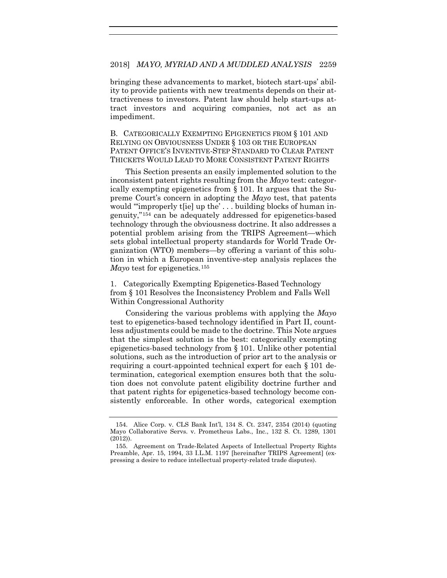bringing these advancements to market, biotech start-ups' ability to provide patients with new treatments depends on their attractiveness to investors. Patent law should help start-ups attract investors and acquiring companies, not act as an impediment.

B. CATEGORICALLY EXEMPTING EPIGENETICS FROM § 101 AND RELYING ON OBVIOUSNESS UNDER § 103 OR THE EUROPEAN PATENT OFFICE'S INVENTIVE-STEP STANDARD TO CLEAR PATENT THICKETS WOULD LEAD TO MORE CONSISTENT PATENT RIGHTS

This Section presents an easily implemented solution to the inconsistent patent rights resulting from the *Mayo* test: categorically exempting epigenetics from § 101. It argues that the Supreme Court's concern in adopting the *Mayo* test, that patents would "improperly t[ie] up the'... building blocks of human ingenuity,"[154](#page-31-0) can be adequately addressed for epigenetics-based technology through the obviousness doctrine. It also addresses a potential problem arising from the TRIPS Agreement—which sets global intellectual property standards for World Trade Organization (WTO) members—by offering a variant of this solution in which a European inventive-step analysis replaces the *Mayo* test for epigenetics.[155](#page-31-1)

<span id="page-31-2"></span>1. Categorically Exempting Epigenetics-Based Technology from § 101 Resolves the Inconsistency Problem and Falls Well Within Congressional Authority

Considering the various problems with applying the *Mayo*  test to epigenetics-based technology identified in Part II, countless adjustments could be made to the doctrine. This Note argues that the simplest solution is the best: categorically exempting epigenetics-based technology from § 101. Unlike other potential solutions, such as the introduction of prior art to the analysis or requiring a court-appointed technical expert for each § 101 determination, categorical exemption ensures both that the solution does not convolute patent eligibility doctrine further and that patent rights for epigenetics-based technology become consistently enforceable. In other words, categorical exemption

<span id="page-31-0"></span><sup>154.</sup> Alice Corp. v. CLS Bank Int'l, 134 S. Ct. 2347, 2354 (2014) (quoting Mayo Collaborative Servs. v. Prometheus Labs., Inc., 132 S. Ct. 1289, 1301 (2012)).

<span id="page-31-1"></span><sup>155.</sup> Agreement on Trade-Related Aspects of Intellectual Property Rights Preamble, Apr. 15, 1994, 33 I.L.M. 1197 [hereinafter TRIPS Agreement] (expressing a desire to reduce intellectual property-related trade disputes).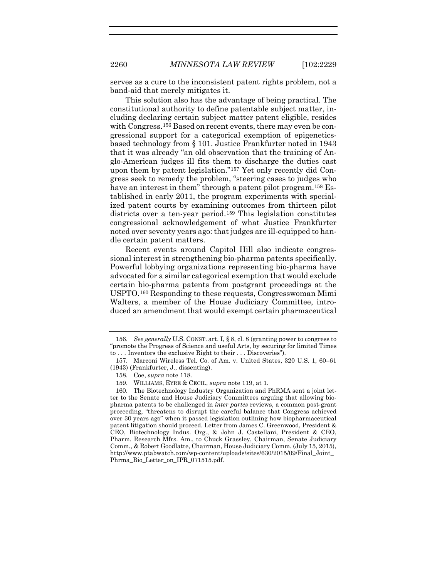serves as a cure to the inconsistent patent rights problem, not a band-aid that merely mitigates it.

This solution also has the advantage of being practical. The constitutional authority to define patentable subject matter, including declaring certain subject matter patent eligible, resides with Congress.<sup>[156](#page-32-0)</sup> Based on recent events, there may even be congressional support for a categorical exemption of epigeneticsbased technology from § 101. Justice Frankfurter noted in 1943 that it was already "an old observation that the training of Anglo-American judges ill fits them to discharge the duties cast upon them by patent legislation."[157](#page-32-1) Yet only recently did Congress seek to remedy the problem, "steering cases to judges who have an interest in them" through a patent pilot program.<sup>[158](#page-32-2)</sup> Established in early 2011, the program experiments with specialized patent courts by examining outcomes from thirteen pilot districts over a ten-year period.[159](#page-32-3) This legislation constitutes congressional acknowledgement of what Justice Frankfurter noted over seventy years ago: that judges are ill-equipped to handle certain patent matters.

Recent events around Capitol Hill also indicate congressional interest in strengthening bio-pharma patents specifically. Powerful lobbying organizations representing bio-pharma have advocated for a similar categorical exemption that would exclude certain bio-pharma patents from postgrant proceedings at the USPTO.[160](#page-32-4) Responding to these requests, Congresswoman Mimi Walters, a member of the House Judiciary Committee, introduced an amendment that would exempt certain pharmaceutical

<span id="page-32-0"></span><sup>156.</sup> *See generally* U.S. CONST. art. I, § 8, cl. 8 (granting power to congress to "promote the Progress of Science and useful Arts, by securing for limited Times to . . . Inventors the exclusive Right to their . . . Discoveries").

<span id="page-32-1"></span><sup>157.</sup> Marconi Wireless Tel. Co. of Am. v. United States, 320 U.S. 1, 60–61 (1943) (Frankfurter, J., dissenting).

<sup>158.</sup> Coe, *supra* not[e 118.](#page-24-0)

<sup>159.</sup> WILLIAMS, EYRE & CECIL, *supra* not[e 119,](#page-24-6) at 1.

<span id="page-32-4"></span><span id="page-32-3"></span><span id="page-32-2"></span><sup>160.</sup> The Biotechnology Industry Organization and PhRMA sent a joint letter to the Senate and House Judiciary Committees arguing that allowing biopharma patents to be challenged in *inter partes* reviews, a common post-grant proceeding, "threatens to disrupt the careful balance that Congress achieved over 30 years ago" when it passed legislation outlining how biopharmaceutical patent litigation should proceed. Letter from James C. Greenwood, President & CEO, Biotechnology Indus. Org., & John J. Castellani, President & CEO, Pharm. Research Mfrs. Am., to Chuck Grassley, Chairman, Senate Judiciary Comm., & Robert Goodlatte, Chairman, House Judiciary Comm. (July 15, 2015), http://www.ptabwatch.com/wp-content/uploads/sites/630/2015/09/Final\_Joint\_ Phrma\_Bio\_Letter\_on\_IPR\_071515.pdf.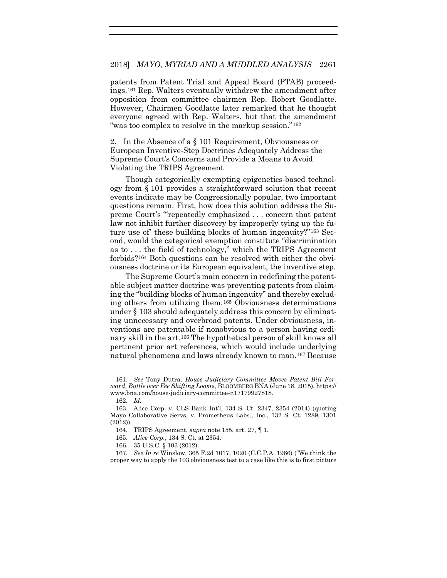patents from Patent Trial and Appeal Board (PTAB) proceedings.[161](#page-33-0) Rep. Walters eventually withdrew the amendment after opposition from committee chairmen Rep. Robert Goodlatte. However, Chairmen Goodlatte later remarked that he thought everyone agreed with Rep. Walters, but that the amendment "was too complex to resolve in the markup session."[162](#page-33-1)

2. In the Absence of a § 101 Requirement, Obviousness or European Inventive-Step Doctrines Adequately Address the Supreme Court's Concerns and Provide a Means to Avoid Violating the TRIPS Agreement

Though categorically exempting epigenetics-based technology from § 101 provides a straightforward solution that recent events indicate may be Congressionally popular, two important questions remain. First, how does this solution address the Supreme Court's "'repeatedly emphasized . . . concern that patent law not inhibit further discovery by improperly tying up the future use of' these building blocks of human ingenuity?"[163](#page-33-2) Second, would the categorical exemption constitute "discrimination as to . . . the field of technology," which the TRIPS Agreement forbids?[164](#page-33-3) Both questions can be resolved with either the obviousness doctrine or its European equivalent, the inventive step.

The Supreme Court's main concern in redefining the patentable subject matter doctrine was preventing patents from claiming the "building blocks of human ingenuity" and thereby excluding others from utilizing them.[165](#page-33-4) Obviousness determinations under § 103 should adequately address this concern by eliminating unnecessary and overbroad patents. Under obviousness, inventions are patentable if nonobvious to a person having ordinary skill in the art.[166](#page-33-5) The hypothetical person of skill knows all pertinent prior art references, which would include underlying natural phenomena and laws already known to man.[167](#page-33-6) Because

- 165. *Alice Corp.*, 134 S. Ct. at 2354.
- 166. 35 U.S.C. § 103 (2012).

<span id="page-33-7"></span><span id="page-33-0"></span><sup>161.</sup> *See* Tony Dutra, *House Judiciary Committee Moves Patent Bill Forward*, *Battle over Fee Shifting Looms*, BLOOMBERG BNA (June 18, 2015), https:// www.bna.com/house-judiciary-committee-n17179927818.

<sup>162.</sup> *Id.*

<span id="page-33-3"></span><span id="page-33-2"></span><span id="page-33-1"></span><sup>163.</sup> Alice Corp. v. CLS Bank Int'l, 134 S. Ct. 2347, 2354 (2014) (quoting Mayo Collaborative Servs. v. Prometheus Labs., Inc., 132 S. Ct. 1289, 1301 (2012)).

<sup>164.</sup> TRIPS Agreement, *supra* note [155,](#page-31-2) art. 27, ¶ 1.

<span id="page-33-6"></span><span id="page-33-5"></span><span id="page-33-4"></span><sup>167.</sup> *See In re* Winslow, 365 F.2d 1017, 1020 (C.C.P.A. 1966) ("We think the proper way to apply the 103 obviousness test to a case like this is to first picture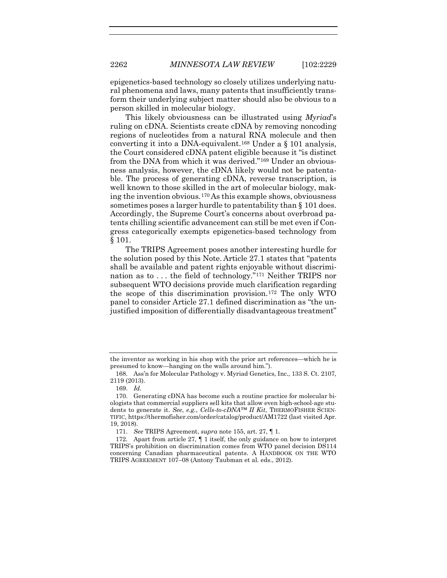epigenetics-based technology so closely utilizes underlying natural phenomena and laws, many patents that insufficiently transform their underlying subject matter should also be obvious to a person skilled in molecular biology.

This likely obviousness can be illustrated using *Myriad*'s ruling on cDNA. Scientists create cDNA by removing noncoding regions of nucleotides from a natural RNA molecule and then converting it into a DNA-equivalent.[168](#page-34-0) Under a § 101 analysis, the Court considered cDNA patent eligible because it "is distinct from the DNA from which it was derived."[169](#page-34-1) Under an obviousness analysis, however, the cDNA likely would not be patentable. The process of generating cDNA, reverse transcription, is well known to those skilled in the art of molecular biology, making the invention obvious.[170](#page-34-2) As this example shows, obviousness sometimes poses a larger hurdle to patentability than § 101 does. Accordingly, the Supreme Court's concerns about overbroad patents chilling scientific advancement can still be met even if Congress categorically exempts epigenetics-based technology from § 101.

The TRIPS Agreement poses another interesting hurdle for the solution posed by this Note. Article 27.1 states that "patents shall be available and patent rights enjoyable without discrimination as to . . . the field of technology."[171](#page-34-3) Neither TRIPS nor subsequent WTO decisions provide much clarification regarding the scope of this discrimination provision.[172](#page-34-4) The only WTO panel to consider Article 27.1 defined discrimination as "the unjustified imposition of differentially disadvantageous treatment"

<span id="page-34-0"></span>the inventor as working in his shop with the prior art references—which he is presumed to know—hanging on the walls around him.").

<sup>168.</sup> Ass'n for Molecular Pathology v. Myriad Genetics, Inc., 133 S. Ct. 2107, 2119 (2013).

<sup>169.</sup> *Id.*

<span id="page-34-2"></span><span id="page-34-1"></span><sup>170.</sup> Generating cDNA has become such a routine practice for molecular biologists that commercial suppliers sell kits that allow even high-school-age students to generate it. *See*, *e.g.*, *Cells-to-cDNA™ II Kit*, THERMOFISHER SCIEN-TIFIC, https://thermofisher.com/order/catalog/product/AM1722 (last visited Apr. 19, 2018).

<sup>171.</sup> *See* TRIPS Agreement, *supra* not[e 155,](#page-31-2) art. 27, ¶ 1.

<span id="page-34-4"></span><span id="page-34-3"></span><sup>172.</sup> Apart from article 27, ¶ 1 itself, the only guidance on how to interpret TRIPS's prohibition on discrimination comes from WTO panel decision DS114 concerning Canadian pharmaceutical patents. A HANDBOOK ON THE WTO TRIPS AGREEMENT 107–08 (Antony Taubman et al. eds., 2012).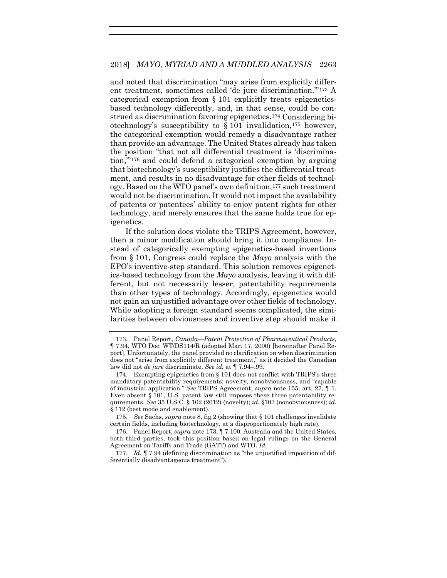<span id="page-35-0"></span>and noted that discrimination "may arise from explicitly different treatment, sometimes called 'de jure discrimination.'"[173](#page-35-1) A categorical exemption from § 101 explicitly treats epigeneticsbased technology differently, and, in that sense, could be construed as discrimination favoring epigenetics[.174](#page-35-2) Considering biotechnology's susceptibility to § 101 invalidation,[175](#page-35-3) however, the categorical exemption would remedy a disadvantage rather than provide an advantage. The United States already has taken the position "that not all differential treatment is 'discrimination,'"[176](#page-35-4) and could defend a categorical exemption by arguing that biotechnology's susceptibility justifies the differential treatment, and results in no disadvantage for other fields of technology. Based on the WTO panel's own definition,[177](#page-35-5) such treatment would not be discrimination. It would not impact the availability of patents or patentees' ability to enjoy patent rights for other technology, and merely ensures that the same holds true for epigenetics.

If the solution does violate the TRIPS Agreement, however, then a minor modification should bring it into compliance. Instead of categorically exempting epigenetics-based inventions from § 101, Congress could replace the *Mayo* analysis with the EPO's inventive-step standard. This solution removes epigenetics-based technology from the *Mayo* analysis, leaving it with different, but not necessarily lesser, patentability requirements than other types of technology. Accordingly, epigenetics would not gain an unjustified advantage over other fields of technology. While adopting a foreign standard seems complicated, the similarities between obviousness and inventive step should make it

<span id="page-35-1"></span><sup>173.</sup> Panel Report, *Canada—Patent Protection of Pharmaceutical Products*, ¶ 7.94, WTO Doc. WT/DS114/R (adopted Mar. 17, 2000) [hereinafter Panel Report]. Unfortunately, the panel provided no clarification on when discrimination does not "arise from explicitly different treatment," as it decided the Canadian law did not *de jure* discriminate. *See id.* at ¶ 7.94–.99.

<span id="page-35-2"></span><sup>174.</sup> Exempting epigenetics from § 101 does not conflict with TRIPS's three mandatory patentability requirements: novelty, nonobviousness, and "capable of industrial application." *See* TRIPS Agreement, *supra* note [155,](#page-31-2) art. 27, ¶ 1. Even absent § 101, U.S. patent law still imposes these three patentability requirements. *See* 35 U.S.C. § 102 (2012) (novelty); *id.* §103 (nonobviousness); *id.* § 112 (best mode and enablement).

<span id="page-35-3"></span><sup>175.</sup> *See* Sachs, *supra* note [8,](#page-3-0) fig.2 (showing that § 101 challenges invalidate certain fields, including biotechnology, at a disproportionately high rate).

<span id="page-35-4"></span><sup>176.</sup> Panel Report, *supra* not[e 173,](#page-35-0) ¶ 7.100. Australia and the United States, both third parties, took this position based on legal rulings on the General Agreement on Tariffs and Trade (GATT) and WTO. *Id.*

<span id="page-35-5"></span><sup>177.</sup> *Id.* ¶ 7.94 (defining discrimination as "the unjustified imposition of differentially disadvantageous treatment").